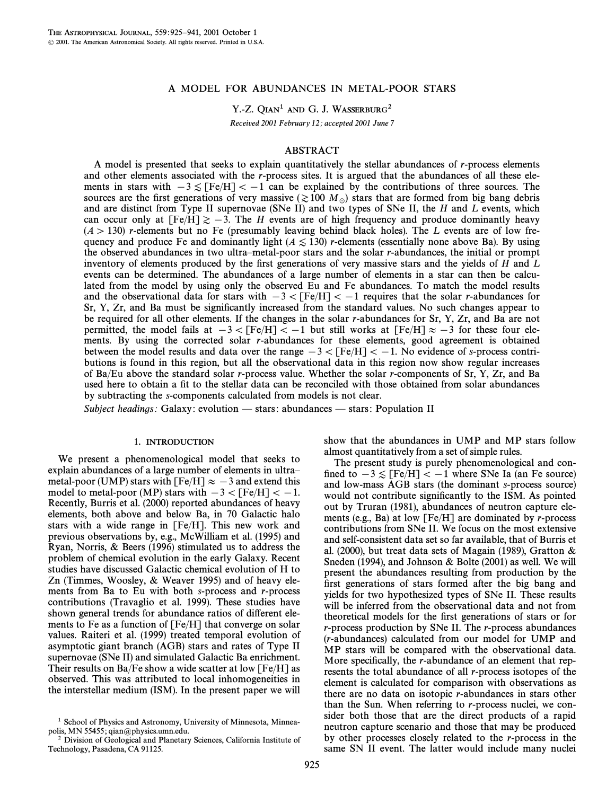## A MODEL FOR ABUNDANCES IN METAL-POOR STARS

Y.-Z. QIAN<sup>1</sup> AND G. J. WASSERBURG<sup>2</sup>

Received 2001 February 12; accepted 2001 June 7

## ABSTRACT

A model is presented that seeks to explain quantitatively the stellar abundances of  $r$ -process elements and other elements associated with the r-process sites. It is argued that the abundances of all these elements in stars with  $-3 \leq [Fe/H] < -1$  can be explained by the contributions of three sources. The sources are the first generations of very massive ( $\gtrsim 100 M_\odot$ ) stars that are formed from big bang debris and are distinct from Type II supernovae (SNe II) and two types of SNe II, the  $H$  and  $L$  events, which can occur only at  $[Fe/H] \ge -3$ . The H events are of high frequency and produce dominantly heavy  $(A > 130)$  r-elements but no Fe (presumably leaving behind black holes). The L events are of low frequency and produce Fe and dominantly light ( $A \le 130$ ) r-elements (essentially none above Ba). By using the observed abundances in two ultra–metal-poor stars and the solar r-abundances, the initial or prompt inventory of elements produced by the first generations of very massive stars and the yields of  $H$  and  $L$ events can be determined. The abundances of a large number of elements in a star can then be calculated from the model by using only the observed Eu and Fe abundances. To match the model results and the observational data for stars with  $-3 <$  [Fe/H] $< -1$  requires that the solar r-abundances for Sr, Y, Zr, and Ba must be significantly increased from the standard values. No such changes appear to be required for all other elements. If the changes in the solar r-abundances for Sr, Y, Zr, and Ba are not permitted, the model fails at  $-3 <$  [Fe/H]  $< -1$  but still works at [Fe/H]  $\approx -3$  for these four elements. By using the corrected solar r-abundances for these elements, good agreement is obtained between the model results and data over the range  $-3 <$  [Fe/H] $\ < -1$ . No evidence of s-process contributions is found in this region, but all the observational data in this region now show regular increases of Ba/Eu above the standard solar r-process value. Whether the solar r-components of Sr, Y, Zr, and Ba used here to obtain a fit to the stellar data can be reconciled with those obtained from solar abundances by subtracting the s-components calculated from models is not clear.

Subject headings: Galaxy: evolution  $-$  stars: abundances  $-$  stars: Population II

#### 1. INTRODUCTION

We present a phenomenological model that seeks to explain abundances of a large number of elements in ultra– metal-poor (UMP) stars with  $[Fe/H] \approx -3$  and extend this model to metal-poor (MP) stars with  $-3 < [Fe/H] < -1$ . Recently, Burris et al. (2000) reported abundances of heavy elements, both above and below Ba, in 70 Galactic halo stars with a wide range in [Fe/H]. This new work and previous observations by, e.g., McWilliam et al. (1995) and Ryan, Norris, & Beers (1996) stimulated us to address the problem of chemical evolution in the early Galaxy. Recent studies have discussed Galactic chemical evolution of H to Zn (Timmes, Woosley, & Weaver 1995) and of heavy elements from Ba to Eu with both  $s$ -process and  $r$ -process contributions (Travaglio et al. 1999). These studies have shown general trends for abundance ratios of different elements to Fe as a function of [Fe/H] that converge on solar values. Raiteri et al. (1999) treated temporal evolution of asymptotic giant branch (AGB) stars and rates of Type II supernovae (SNe II) and simulated Galactic Ba enrichment. Their results on Ba/Fe show a wide scatter at low  $[Fe/H]$  as observed. This was attributed to local inhomogeneities in the interstellar medium (ISM). In the present paper we will show that the abundances in UMP and MP stars follow almost quantitatively from a set of simple rules.

The present study is purely phenomenological and confined to  $-3 \leq$  [Fe/H]  $<-1$  where SNe Ia (an Fe source) and low-mass AGB stars (the dominant s-process source) would not contribute significantly to the ISM. As pointed out by Truran (1981), abundances of neutron capture elements (e.g., Ba) at low  $[Fe/H]$  are dominated by *r*-process contributions from SNe II. We focus on the most extensive and self-consistent data set so far available, that of Burris et al. (2000), but treat data sets of Magain (1989), Gratton & Sneden (1994), and Johnson & Bolte (2001) as well. We will present the abundances resulting from production by the first generations of stars formed after the big bang and yields for two hypothesized types of SNe II. These results will be inferred from the observational data and not from theoretical models for the first generations of stars or for  $r$ -process production by SNe II. The  $r$ -process abundances (r-abundances) calculated from our model for UMP and MP stars will be compared with the observational data. More specifically, the  $r$ -abundance of an element that represents the total abundance of all r-process isotopes of the element is calculated for comparison with observations as there are no data on isotopic r-abundances in stars other than the Sun. When referring to r-process nuclei, we consider both those that are the direct products of a rapid neutron capture scenario and those that may be produced by other processes closely related to the r-process in the same SN II event. The latter would include many nuclei

<sup>&</sup>lt;sup>1</sup> School of Physics and Astronomy, University of Minnesota, Minneapolis, MN 55455; qian@physics.umn.edu.

<sup>&</sup>lt;sup>2</sup> Division of Geological and Planetary Sciences, California Institute of Technology, Pasadena, CA 91125.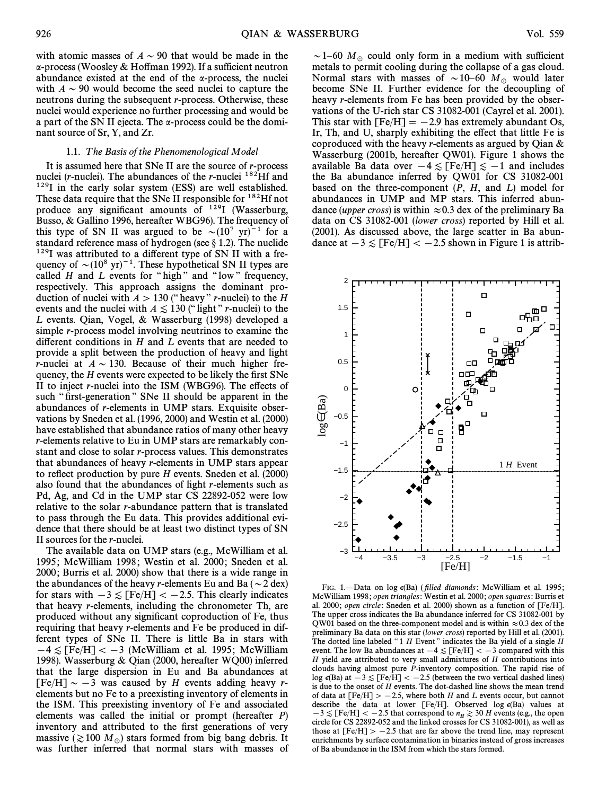with atomic masses of  $A \sim 90$  that would be made in the  $\alpha$ -process (Woosley & Hoffman 1992). If a sufficient neutron abundance existed at the end of the  $\alpha$ -process, the nuclei with  $A \sim 90$  would become the seed nuclei to capture the neutrons during the subsequent *r*-process. Otherwise, these nuclei would experience no further processing and would be a part of the SN II ejecta. The  $\alpha$ -process could be the dominant source of Sr, Y, and Zr.

## 1.1. T he Basis of the Phenomenological Model

It is assumed here that SNe II are the source of r-process nuclei (*r*-nuclei). The abundances of the *r*-nuclei  $^{182}$ Hf and 129I in the early solar system (ESS) are well established. These data require that the SNe II responsible for <sup>182</sup>Hf not produce any significant amounts of  $129$ I (Wasserburg, Busso, & Gallino 1996, hereafter WBG96). The frequency of this type of SN II was argued to be  $\sim (10^7 \text{ yr})^{-1}$  for a standard reference mass of hydrogen (see  $\S$  1.2). The nuclide  $129$ I was attributed to a different type of SN II with a frequency of  $\sim (10^8 \text{ yr})^{-1}$ . These hypothetical SN II types are called  $H$  and  $L$  events for "high" and "low" frequency, respectively. This approach assigns the dominant production of nuclei with  $A > 130$  (" heavy " r-nuclei) to the H events and the nuclei with  $A \leq 130$  ("light" r-nuclei) to the L events. Qian, Vogel, & Wasserburg (1998) developed a simple r-process model involving neutrinos to examine the different conditions in  $H$  and  $L$  events that are needed to provide a split between the production of heavy and light r-nuclei at  $A \sim 130$ . Because of their much higher frequency, the  $H$  events were expected to be likely the first SNe II to inject r-nuclei into the ISM (WBG96). The e†ects of such "first-generation" SNe II should be apparent in the abundances of r-elements in UMP stars. Exquisite observations by Sneden et al. (1996, 2000) and Westin et al. (2000) have established that abundance ratios of many other heavy r-elements relative to Eu in UMP stars are remarkably constant and close to solar r-process values. This demonstrates that abundances of heavy r-elements in UMP stars appear to reflect production by pure  $H$  events. Sneden et al. (2000) also found that the abundances of light r-elements such as Pd, Ag, and Cd in the UMP star CS 22892-052 were low relative to the solar r-abundance pattern that is translated to pass through the Eu data. This provides additional evidence that there should be at least two distinct types of SN II sources for the r-nuclei.

The available data on UMP stars (e.g., McWilliam et al. 1995; McWilliam 1998; Westin et al. 2000; Sneden et al. 2000 ; Burris et al. 2000) show that there is a wide range in the abundances of the heavy r-elements Eu and Ba ( $\sim$  2 dex) for stars with  $-3 \leq$  [Fe/H]  $<-2.5$ . This clearly indicates that heavy r-elements, including the chronometer Th, are produced without any significant coproduction of Fe, thus requiring that heavy r-elements and Fe be produced in different types of SNe II. There is little Ba in stars with  $-4 \leq$  [Fe/H]  $<-3$  (McWilliam et al. 1995; McWilliam 1998). Wasserburg & Qian (2000, hereafter WQ00) inferred that the large dispersion in Eu and Ba abundances at  $[Fe/H] \sim -3$  was caused by H events adding heavy relements but no Fe to a preexisting inventory of elements in the ISM. This preexisting inventory of Fe and associated elements was called the initial or prompt (hereafter  $P$ ) inventory and attributed to the first generations of very massive ( $\gtrsim 100 M_\odot$ ) stars formed from big bang debris. It was further inferred that normal stars with masses of

 $\sim$  1–60 M<sub>\o</sub> could only form in a medium with sufficient metals to permit cooling during the collapse of a gas cloud. Normal stars with masses of  $\sim$  10–60  $M_\odot$  would later become SNe II. Further evidence for the decoupling of heavy *r*-elements from Fe has been provided by the observations of the U-rich star CS 31082-001 (Cayrel et al. 2001). This star with  $[Fe/H] = -2.9$  has extremely abundant Os, Ir, Th, and U, sharply exhibiting the effect that little Fe is coproduced with the heavy r-elements as argued by Qian  $\&$ Wasserburg (2001b, hereafter QW01). Figure 1 shows the available Ba data over  $-4 \lesssim$  [Fe/H]  $\lesssim -1$  and includes the Ba abundance inferred by QW01 for CS 31082-001 based on the three-component  $(P, H, \text{ and } L)$  model for abundances in UMP and MP stars. This inferred abundance (*upper cross*) is within  $\approx 0.3$  dex of the preliminary Ba data on CS 31082-001 (lower cross) reported by Hill et al. (2001). As discussed above, the large scatter in Ba abundance at  $-3 \leq$  [Fe/H]  $<-2.5$  shown in Figure 1 is attrib-



FIG. 1.-Data on log  $\epsilon(Ba)$  (filled diamonds: McWilliam et al. 1995; McWilliam 1998 ; open triangles: Westin et al. 2000 ; open squares: Burris et al. 2000; open circle: Sneden et al. 2000) shown as a function of  $[Fe/H]$ . The upper cross indicates the Ba abundance inferred for CS 31082-001 by QW01 based on the three-component model and is within  $\approx 0.3$  dex of the preliminary Ba data on this star (lower cross) reported by Hill et al. (2001). The dotted line labeled "1  $H$  Event" indicates the Ba yield of a single  $H$ event. The low Ba abundances at  $-4 \leq$  [Fe/H]  $<-3$  compared with this  $H$  yield are attributed to very small admixtures of  $H$  contributions into clouds having almost pure P-inventory composition. The rapid rise of  $\log \epsilon(Ba)$  at  $-3 \leq$  [Fe/H]  $<-2.5$  (between the two vertical dashed lines) is due to the onset of H events. The dot-dashed line shows the mean trend of data at  $[Fe/H] > -2.5$ , where both H and L events occur, but cannot describe the data at lower [Fe/H]. Observed log  $\epsilon$ (Ba) values at  $-3 \lesssim$  [Fe/H]  $<-2.5$  that correspond to  $n_H \gtrsim 30$  H events (e.g., the open circle for CS 22892-052 and the linked crosses for CS 31082-001), as well as those at  $[Fe/H] > -2.5$  that are far above the trend line, may represent enrichments by surface contamination in binaries instead of gross increases of Ba abundance in the ISM from which the stars formed.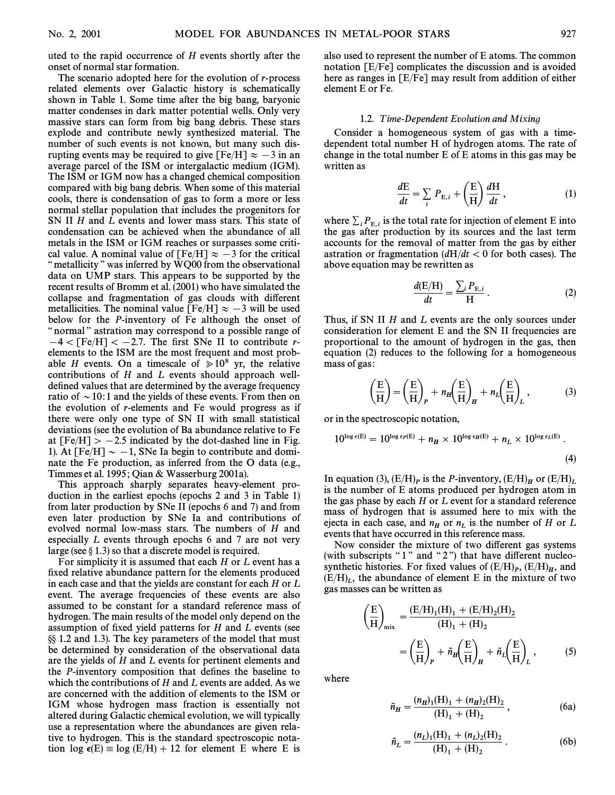The scenario adopted here for the evolution of *r*-process related elements over Galactic history is schematically shown in Table 1. Some time after the big bang, baryonic matter condenses in dark matter potential wells. Only very massive stars can form from big bang debris. These stars explode and contribute newly synthesized material. The number of such events is not known, but many such disrupting events may be required to give [Fe/H]  $\approx -3$  in an average parcel of the ISM or intergalactic medium (IGM). The ISM or IGM now has a changed chemical composition compared with big bang debris. When some of this material cools, there is condensation of gas to form a more or less normal stellar population that includes the progenitors for SN II H and L events and lower mass stars. This state of condensation can be achieved when the abundance of all metals in the ISM or IGM reaches or surpasses some critical value. A nominal value of  $[Fe/H] \approx -3$  for the critical " metallicity " was inferred by WQ00 from the observational data on UMP stars. This appears to be supported by the recent results of Bromm et al. (2001) who have simulated the collapse and fragmentation of gas clouds with different metallicities. The nominal value [Fe/H]  $\approx -3$  will be used below for the P-inventory of Fe although the onset of " normal" astration may correspond to a possible range of  $-4 <$  [Fe/H]  $< -2.7$ . The first SNe II to contribute relements to the ISM are the most frequent and most probable H events. On a timescale of  $\ge 10^8$  yr, the relative contributions of H and L events should approach welldefined values that are determined by the average frequency ratio of  $\sim$  10:1 and the yields of these events. From then on the evolution of r-elements and Fe would progress as if there were only one type of SN II with small statistical deviations (see the evolution of Ba abundance relative to Fe at  $[Fe/H] > -2.5$  indicated by the dot-dashed line in Fig. 1). At [Fe/H]  $\sim -1$ , SNe Ia begin to contribute and dominate the Fe production, as inferred from the O data (e.g., Timmes et al. 1995; Qian & Wasserburg 2001a).

This approach sharply separates heavy-element production in the earliest epochs (epochs 2 and 3 in Table 1) from later production by SNe II (epochs 6 and 7) and from even later production by SNe Ia and contributions of evolved normal low-mass stars. The numbers of H and especially L events through epochs 6 and 7 are not very large (see  $\S 1.3$ ) so that a discrete model is required.

For simplicity it is assumed that each  $H$  or  $L$  event has a fixed relative abundance pattern for the elements produced in each case and that the yields are constant for each H or L event. The average frequencies of these events are also assumed to be constant for a standard reference mass of hydrogen. The main results of the model only depend on the assumption of fixed yield patterns for  $H$  and  $L$  events (see §§ 1.2 and 1.3). The key parameters of the model that must be determined by consideration of the observational data are the yields of H and L events for pertinent elements and the *P*-inventory composition that defines the baseline to which the contributions of H and L events are added. As we are concerned with the addition of elements to the ISM or IGM whose hydrogen mass fraction is essentially not altered during Galactic chemical evolution, we will typically use a representation where the abundances are given relative to hydrogen. This is the standard spectroscopic notation  $\log \epsilon(E) = \log (E/H) + 12$  for element E where E is

also used to represent the number of E atoms. The common notation [E/Fe] complicates the discussion and is avoided here as ranges in [E/Fe] may result from addition of either element E or Fe.

#### 1.2. Time-Dependent Evolution and Mixing

Consider a homogeneous system of gas with a timedependent total number H of hydrogen atoms. The rate of change in the total number E of E atoms in this gas may be written as

$$
\frac{dE}{dt} = \sum_{i} P_{E,i} + \left(\frac{E}{H}\right) \frac{dH}{dt},\qquad(1)
$$

where  $\sum_i P_{E,i}$  is the total rate for injection of element E into the gas after production by its sources and the last term accounts for the removal of matter from the gas by either astration or fragmentation  $\frac{dH}{dt} < 0$  for both cases). The above equation may be rewritten as

$$
\frac{d(E/H)}{dt} = \frac{\sum_{i} P_{E,i}}{H}.
$$
 (2)

Thus, if SN II  $H$  and  $L$  events are the only sources under consideration for element E and the SN II frequencies are proportional to the amount of hydrogen in the gas, then equation (2) reduces to the following for a homogeneous mass of gas :

$$
\left(\frac{E}{H}\right) = \left(\frac{E}{H}\right)_P + n_H \left(\frac{E}{H}\right)_H + n_L \left(\frac{E}{H}\right)_L, \tag{3}
$$

or in the spectroscopic notation,

$$
10^{\log \epsilon(E)} = 10^{\log \epsilon_P(E)} + n_H \times 10^{\log \epsilon_H(E)} + n_L \times 10^{\log \epsilon_L(E)}.
$$
\n(4)

In equation (3),  $(E/H)_P$  is the *P*-inventory,  $(E/H)_H$  or  $(E/H)_L$  is the number of E atoms produced per hydrogen atom in the gas phase by each H or L event for a standard reference mass of hydrogen that is assumed here to mix with the ejecta in each case, and  $n_H$  or  $n_L$  is the number of H or L events that have occurred in this reference mass.

Now consider the mixture of two different gas systems (with subscripts " $1$ " and " $2$ ") that have different nucleosynthetic histories. For fixed values of  $(E/H)_P$ ,  $(E/H)_H$ , and  $(E/H)$ , the obundance of element E in the mixture of two  $(E/H)_L$ , the abundance of element E in the mixture of two  $\cos m$  masses can be written as gas masses can be written as

$$
\left(\frac{E}{H}\right)_{mix} = \frac{(E/H)_1(H)_1 + (E/H)_2(H)_2}{(H)_1 + (H)_2}
$$
\n
$$
= \left(\frac{E}{H}\right)_P + \tilde{n}_H \left(\frac{E}{H}\right)_H + \tilde{n}_L \left(\frac{E}{H}\right)_L, \tag{5}
$$

where

$$
\tilde{n}_{H} = \frac{(n_{H})_{1}(H)_{1} + (n_{H})_{2}(H)_{2}}{(H)_{1} + (H)_{2}},
$$
\n(6a)

$$
\tilde{n}_L = \frac{(n_L)_1(H)_1 + (n_L)_2(H)_2}{(H)_1 + (H)_2} \,. \tag{6b}
$$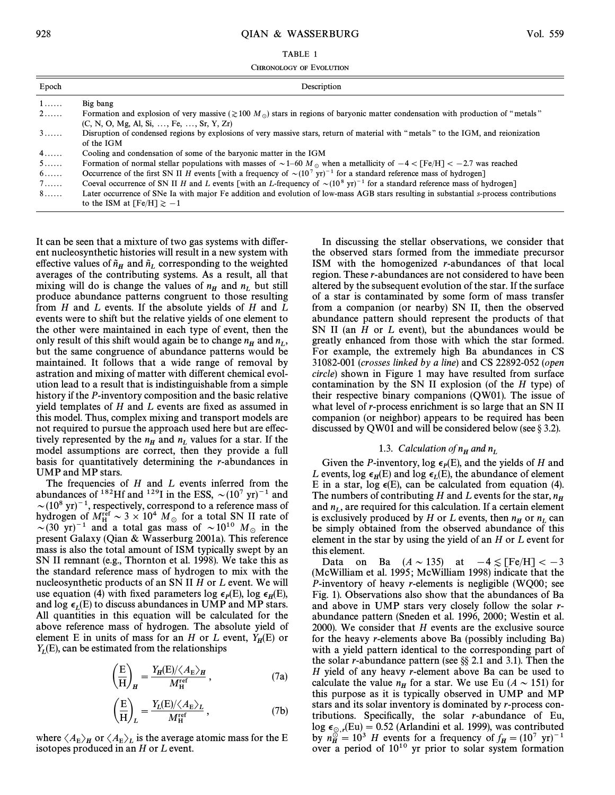## 928 QIAN & WASSERBURG Vol. 559

CHRONOLOGY OF EVOLUTION

| Epoch | Description                                                                                                                                                                                    |
|-------|------------------------------------------------------------------------------------------------------------------------------------------------------------------------------------------------|
| 1.    | Big bang                                                                                                                                                                                       |
| 2.    | Formation and explosion of very massive ( $\gtrsim 100 M_{\odot}$ ) stars in regions of baryonic matter condensation with production of "metals"<br>$(C, N, O, Mg, Al, Si, , Fe, , Sr, Y, Zr)$ |
| 3.    | Disruption of condensed regions by explosions of very massive stars, return of material with "metals" to the IGM, and reionization<br>of the IGM                                               |
| 4.    | Cooling and condensation of some of the baryonic matter in the IGM                                                                                                                             |
| 5     | Formation of normal stellar populations with masses of $\sim$ 1–60 M <sub>\opta</sub> when a metallicity of $-4 <$ [Fe/H] $<$ -2.7 was reached                                                 |
| 6.    | Occurrence of the first SN II H events [with a frequency of $\sim (10^7 \text{ yr})^{-1}$ for a standard reference mass of hydrogen]                                                           |
| 7.    | Coeval occurrence of SN II H and L events [with an L-frequency of $\sim (10^8 \text{ yr})^{-1}$ for a standard reference mass of hydrogen]                                                     |
| 8.    | Later occurrence of SNe Ia with major Fe addition and evolution of low-mass AGB stars resulting in substantial s-process contributions<br>to the ISM at $[Fe/H] \ge -1$                        |

It can be seen that a mixture of two gas systems with different nucleosynthetic histories will result in a new system with effective values of  $\tilde{n}_H$  and  $\tilde{n}_L$  corresponding to the weighted averages of the contributing systems. As a result all that averages of the contributing systems. As a result, all that mixing will do is change the values of  $n_H$  and  $n_L$  but still<br>produce abundance patterns congruent to those resulting produce abundance patterns congruent to those resulting from  $H$  and  $L$  events. If the absolute yields of  $H$  and  $L$ events were to shift but the relative yields of one element to the other were maintained in each type of event, then the only result of this shift would again be to change  $n_H$  and  $n_L$ ,<br>but the same congruence of abundance patterns would be but the same congruence of abundance patterns would be maintained. It follows that a wide range of removal by astration and mixing of matter with different chemical evolution lead to a result that is indistinguishable from a simple history if the P-inventory composition and the basic relative yield templates of  $H$  and  $L$  events are fixed as assumed in this model. Thus, complex mixing and transport models are not required to pursue the approach used here but are effectively represented by the  $n_H$  and  $n_L$  values for a star. If the model assumptions are correct, then they provide a full model assumptions are correct, then they provide a full basis for quantitatively determining the r-abundances in UMP and MP stars.

The frequencies of  $H$  and  $L$  events inferred from the abundances of <sup>182</sup>Hf and <sup>129</sup>I in the ESS,  $\sim (10^7 \text{ yr})^{-1}$  and  $\sim$ (10<sup>8</sup> yr)<sup>-1</sup>, respectively, correspond to a reference mass of hydrogen of  $M_H^{\text{ref}} \sim 3 \times 10^4$   $M_\odot$  for a total SN II rate of  $\sim (30 \text{ yr})^{-1}$  and a total gas mass of  $\sim 10^{10}$  M in the  $\sim$  (30 yr)<sup>-1</sup> and a total gas mass of  $\sim$  10<sup>10</sup> M<sub>o</sub> in the  $\sim$  10<sup>10</sup> M<sub>o</sub> in the  $\sim$ present Galaxy (Qian & Wasserburg 2001a). This reference mass is also the total amount of ISM typically swept by an SN II remnant (e.g., Thornton et al. 1998). We take this as the standard reference mass of hydrogen to mix with the nucleosynthetic products of an SN II H or L event. We will use equation (4) with fixed parameters log  $\epsilon_p(E)$ , log  $\epsilon_H(E)$ , and  $\log \epsilon_I(E)$  to discuss abundances in UMP and MP stars. All quantities in this equation will be calculated for the above reference mass of hydrogen. The absolute yield of element E in units of mass for an H or L event,  $Y_H(E)$  or  $Y_F(E)$  can be estimated from the relationships  $Y_L(E)$ , can be estimated from the relationships

$$
\left(\frac{E}{H}\right)_{H} = \frac{Y_{H}(E)/\langle A_{E}\rangle_{H}}{M_{H}^{\text{ref}}},
$$
\n(7a)

$$
\left(\frac{E}{H}\right)_L = \frac{Y_L(E)/\langle A_E \rangle_L}{M_H^{\text{ref}}},\tag{7b}
$$

where  $\langle A_{\rm E} \rangle_H$  or  $\langle A_{\rm E} \rangle_L$  is the average atomic mass for the E sections produced in an H or L syent isotopes produced in an  $H$  or  $L$  event.

In discussing the stellar observations, we consider that the observed stars formed from the immediate precursor ISM with the homogenized r-abundances of that local region. These r-abundances are not considered to have been altered by the subsequent evolution of the star. If the surface of a star is contaminated by some form of mass transfer from a companion (or nearby) SN II, then the observed abundance pattern should represent the products of that SN II (an  $H$  or  $L$  event), but the abundances would be greatly enhanced from those with which the star formed. For example, the extremely high Ba abundances in CS 31082-001 (crosses linked by a line) and CS 22892-052 (open circle) shown in Figure 1 may have resulted from surface contamination by the SN II explosion (of the  $H$  type) of their respective binary companions (QW01). The issue of what level of *r*-process enrichment is so large that an SN II companion (or neighbor) appears to be required has been discussed by QW01 and will be considered below (see  $\S 3.2$ ).

# 1.3. Calculation of  $n_H$  and n

Given the *P*-inventory,  $\log \epsilon_p(E)$ , and the yields of *H* and Pyents  $\log \epsilon_p(E)$  and  $\log \epsilon_p(E)$  the abundance of elements L events, log  $\epsilon_H$ (E) and log  $\epsilon_L$ (E), the abundance of element E in a star,  $\log \epsilon(E)$ , can be calculated from equation (4). The numbers of contributing H and L events for the star,  $n_H$ and  $n_L$ , are required for this calculation. If a certain element and  $n_L$ , are required for this calculation. In a certain elements<br>is exclusively produced by H or L events, then  $n_H$  or  $n_L$  can<br>he simply obtained from the observed abundance of this be simply obtained from the observed abundance of this element in the star by using the yield of an H or L event for this element.

Data on Ba  $(A \sim 135)$  at  $-4 \lesssim$  [Fe/H]  $<-3$ (McWilliam et al. 1995; McWilliam 1998) indicate that the P-inventory of heavy r-elements is negligible (WQ00; see Fig. 1). Observations also show that the abundances of Ba and above in UMP stars very closely follow the solar rabundance pattern (Sneden et al. 1996, 2000; Westin et al. 2000). We consider that  $H$  events are the exclusive source for the heavy r-elements above Ba (possibly including Ba) with a yield pattern identical to the corresponding part of the solar *r*-abundance pattern (see  $\S$ ) 2.1 and 3.1). Then the H yield of any heavy r-element above Ba can be used to calculate the value  $n_H$  for a star. We use Eu ( $A \sim 151$ ) for this purpose as it is typically observed in UMP and MP stars and its solar inventory is dominated by r-process contributions. Specifically, the solar  $r$ -abundance of Eu, log  $\epsilon_{\odot}$ , (Eu) = 0.52 (Arlandini et al. 1999), was contributed by  $n^{\odot}$  = 10<sup>3</sup> H events for a frequency of  $f = (10^7 \text{ yr})^{-1}$ by  $n_H^{\odot} = 10^3$  H events for a frequency of  $f_H = (10^7 \text{ yr})^{-1}$ <br>over a period of  $10^{10}$  yr prior to solar system formation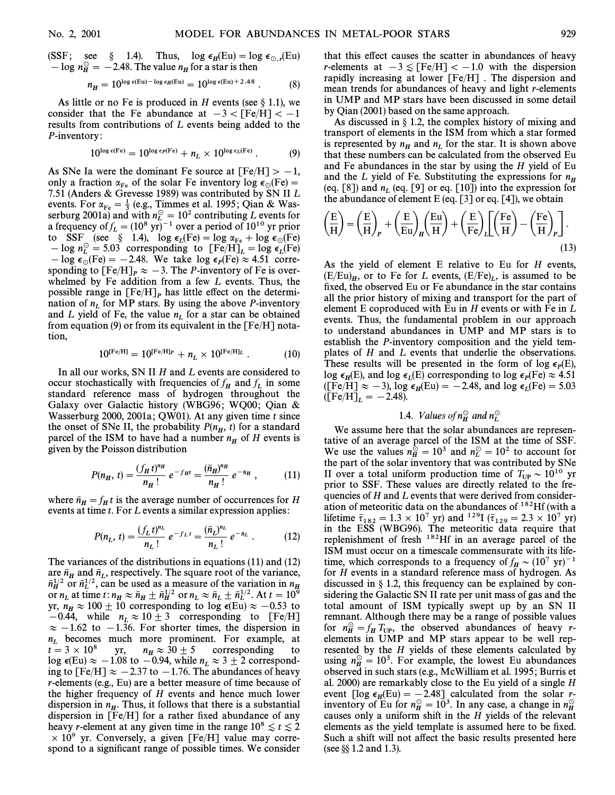(SSF; see § 1.4). Thus, 
$$
\log \epsilon_H(\text{Eu}) = \log \epsilon_{\odot,r}(\text{Eu}) - \log n_H^{\odot} = -2.48
$$
. The value  $n_H$  for a star is then

$$
n_H = 10^{\log \epsilon(\text{Eu}) - \log \epsilon_H(\text{Eu})} = 10^{\log \epsilon(\text{Eu}) + 2.48} \ . \tag{8}
$$

As little or no Fe is produced in H events (see  $\S$  1.1), we consider that the Fe abundance at  $-3 <$  [Fe/H] $< -1$ results from contributions of L events being added to the P-inventory :

$$
10^{\log \epsilon(\text{Fe})} = 10^{\log \epsilon_P(\text{Fe})} + n_L \times 10^{\log \epsilon_L(\text{Fe})}. \tag{9}
$$

As SNe Ia were the dominant Fe source at  $[Fe/H] > -1$ , only a fraction  $\alpha_{\text{Fe}}$  of the solar Fe inventory log  $\epsilon_{\odot}(\text{Fe}) =$ <br>7.51 (Anders & Greyesse 1989) was contributed by SN II I. 7.51 (Anders & Grevesse 1989) was contributed by SN II L events. For  $\alpha_{\text{Fe}} = \frac{1}{3}$  (e.g., Timmes et al. 1995; Qian & Was-<br>serburg 2001a) and with  $n^{\odot} = 10^2$  contributing L events for serburg 2001a) and with  $n_L^{\circ} = 3$  (e.g., numes of an event for L events for L events for  $\frac{103}{10^{10}}$  events for  $\frac{103}{10^{10}}$  ver prior a frequency of  $f_L = (10^8 \text{ yr})^{-1}$  over a period of  $10^{10}$  yr prior<br>to SSE (see  $\frac{8}{10}$ , 14)  $\log \epsilon$  (Fe)  $- \log \alpha + \log \epsilon$  (Fe) to SSF (see § 1.4),  $\log \epsilon_L$ (Fe) =  $\log \alpha_{\rm Fe}$  +  $\log \epsilon_{\odot}$ (Fe)<br>log v<sup>o</sup> = 5.03 corresponding to  $\Gamma_{\rm Fe}$ /H<sub>1</sub> =  $\log \epsilon$  (Fe)  $[-\log n_{\rm L}^{\rm C} = 5.03$  corresponding to  ${\rm [Fe/H]}_L = \log \epsilon_L{\rm [Fe]}$  $\frac{L_0}{L_1} = 0.38$  C/Fe) corresponding to [1.711]  $\frac{L_0}{L_1} = 0.8$  e<sub>0</sub>(Fe)  $\approx 4.51$  corre-<br>sponding to  $\frac{L_0}{L_1} = -2.48$ . The *B* inventory of Fe is oversponding to  $[Fe/H]_P \approx -3$ . The  $P-\text{-invariant}$  of Fe is over-<br>sponding to  $[Fe/H]_P \approx -3$ . The  $P-\text{-invariant}$  is overwhelmed by Fe addition from a few L events. Thus, the possible range in  $[Fe/H]_P$  has little effect on the determination of  $n_L$  for MP stars. By using the above *P*-inventory and *L* yield of Fe, the value  $n_L$  for a star can be obtained from equation (9) or from its equivalent in the  $[Fe/H]$  notation,

$$
10^{\text{[Fe/H]}} = 10^{\text{[Fe/H]}p} + n_L \times 10^{\text{[Fe/H]}L} . \qquad (10)
$$

In all our works, SN II H and L events are considered to occur stochastically with frequencies of  $f_H$  and  $f_L$  in some fundant reference mass of hydrogen throughout the standard reference mass of hydrogen throughout the Galaxy over Galactic history (WBG96; WO00; Oian & Wasserburg 2000, 2001a; QW01). At any given time  $t$  since the onset of SNe II, the probability  $P(n_H, t)$  for a standard parcel of the ISM to have had a number  $n_{\text{eff}}$  of H events is parcel of the ISM to have had a number  $n_H$  of H events is given by the Poisson distribution

$$
P(n_H, t) = \frac{(f_H t)^{n_H}}{n_H!} e^{-f_H t} = \frac{(\bar{n}_H)^{n_H}}{n_H!} e^{-\bar{n}_H}, \qquad (11)
$$

where  $\bar{n}_H = f_H t$  is the average number of occurrences for H events at time t. For L events a similar expression applies: events at time t. For L events a similar expression applies:

$$
P(n_L, t) = \frac{(f_L t)^{n_L}}{n_L!} e^{-f_L t} = \frac{(\bar{n}_L)^{n_L}}{n_L!} e^{-\bar{n}_L} .
$$
 (12)

The variances of the distributions in equations (11) and (12) are  $\bar{n}_H$  and  $\bar{n}_L$ , respectively. The square root of the variance,  $\bar{n}^{1/2}$  or  $\bar{n}^{1/2}$  can be used as a measure of the variation in n  $\vec{n}_H^{1/2}$  or  $\vec{n}_L^{1/2}$ , can be used as a measure of the variation in  $n \vec{n}_H^{1/2}$  or  $\vec{n}_L^{1/2}$ , can be used as a measure of the variation in  $n \vec{n}_H$ .  $\overline{h}$  or  $n_L$ , can be asset as a measure of the variation in  $\overline{h}$ <br>or  $n_L$  at time t:  $n_R \approx \overline{h}_H \pm \overline{n}_H^{1/2}$  or  $n_L \approx \overline{h}_L \pm \overline{n}_L^{1/2}$ . At  $t = 10^\circ$  $\lim_{h \to 0} \frac{\mathcal{L}_h}{\mathcal{L}_h} \approx \lim_{h \to 0} \frac{\mathcal{L}_h}{\mathcal{L}_h} \frac{\mathcal{L}_h}{\mathcal{L}_h} \frac{\mathcal{L}_h}{\mathcal{L}_h} \frac{\mathcal{L}_h}{\mathcal{L}_h} \frac{\mathcal{L}_h}{\mathcal{L}_h}$ .  $-0.44$ , while  $n_L \approx 10 \pm 3$  corresponding to [Fe/H]  $\approx -1.62$  to  $-1.36$  For shorter times the dispersion in  $\approx -1.62$  to  $-1.36$ . For shorter times, the dispersion in  $n_L$  becomes much more prominent. For example, at  $t = 3 \times 10^8$  yr,  $n_H \approx 30 \pm 5$  corresponding to corresponding  $n_H \approx 30 \pm 5$ log  $\epsilon$ (Eu)  $\approx -1.08$  to  $-0.94$ , while  $n_L \approx 3 \pm 2$  correspond-<br>ing to [Ee/H]  $\sim -2.37$  to  $-1.76$  The abundances of beavy ing to [Fe/H]  $\approx -2.37$  to  $-1.76$ . The abundances of heavy r-elements (e.g., Eu) are a better measure of time because of the higher frequency of H events and hence much lower dispersion in  $n_H$ . Thus, it follows that there is a substantial<br>dispersion in  $[Fe/H]$  for a rather fixed abundance of any dispersion in  $[Fe/H]$  for a rather fixed abundance of any heavy r-element at any given time in the range  $10^8 \lesssim t \lesssim 2$  $\times$  10<sup>9</sup> yr. Conversely, a given [Fe/H] value may correspond to a significant range of possible times. We consider

that this effect causes the scatter in abundances of heavy r-elements at  $-3 \leq$  [Fe/H]  $<-1.0$  with the dispersion rapidly increasing at lower [Fe/H] . The dispersion and mean trends for abundances of heavy and light r-elements in UMP and MP stars have been discussed in some detail by Qian (2001) based on the same approach.

As discussed in  $\S$  1.2, the complex history of mixing and transport of elements in the ISM from which a star formed is represented by  $n_H$  and  $n_L$  for the star. It is shown above<br>that these numbers can be calculated from the observed Eu that these numbers can be calculated from the observed Eu and Fe abundances in the star by using the  $H$  yield of Eu and the L yield of Fe. Substituting the expressions for  $n<sub>H</sub>$ (eq. [8]) and  $n_L$  (eq. [9] or eq. [10]) into the expression for the abundance of element E (eq.  $[3]$  or eq.  $[4]$ ), we obtain

the abundance of element E (eq. [3] of eq. [4]), we obtain  
\n
$$
\left(\frac{E}{H}\right) = \left(\frac{E}{H}\right)_P + \left(\frac{E}{Eu}\right)_H \left(\frac{Eu}{H}\right) + \left(\frac{E}{Fe}\right)_L \left[\left(\frac{Fe}{H}\right) - \left(\frac{Fe}{H}\right)_P\right].
$$
\n(13)

As the yield of element E relative to Eu for H events,  $(E/Eu)_H$ , or to Fe for L events,  $(E/Fe)_L$ , is assumed to be fixed the observed Eu or Fe abundance in the star contains fixed, the observed Eu or Fe abundance in the star contains all the prior history of mixing and transport for the part of element E coproduced with Eu in  $H$  events or with Fe in  $L$ events. Thus, the fundamental problem in our approach to understand abundances in UMP and MP stars is to establish the P-inventory composition and the yield templates of H and L events that underlie the observations. These results will be presented in the form of log  $\epsilon_P(E)$ , These results with the presented in the form of  $\log \epsilon_P(\text{Fe}) \approx 4.51$ <br>(Fe/H]  $\approx 3$ ) log c (Fu) = 2.48 and log  $\epsilon_P(\text{Fe}) \approx 5.03$  $\sum_{i=1}^{\infty}$   $\sum_{i=1}^{\infty}$   $\sum_{i=1}^{\infty}$   $\sum_{i=1}^{\infty}$   $\sum_{i=1}^{\infty}$   $\sum_{i=1}^{\infty}$   $\sum_{i=1}^{\infty}$   $\sum_{i=1}^{\infty}$   $\sum_{i=1}^{\infty}$   $\sum_{i=1}^{\infty}$   $\sum_{i=1}^{\infty}$   $\sum_{i=1}^{\infty}$   $\sum_{i=1}^{\infty}$   $\sum_{i=1}^{\infty}$   $\sum_{i=1}^{\in$  $(EFe/H]_L = -2.48$ .

# 1.4. *Values of*  $n_H^{\odot}$  and  $n_L^{\odot}$

We assume here that the solar abundances are representative of an average parcel of the ISM at the time of SSF. We use the values  $n_H^{\odot} = 10^3$  and  $n_L^{\odot} = 10^2$  to account for the part of the solar inventory that was contributed by SNe II over a total uniform production time of  $T_{UP} \sim 10^{10}$  yr<br>prior to SSE. These values are directly related to the fre prior to SSF. These values are directly related to the frequencies of  $H$  and  $L$  events that were derived from consideration of meteoritic data on the abundances of <sup>182</sup>Hf (with a lifetime  $\bar{\tau}_{182} = 1.3 \times 10^7$  yr) and <sup>129</sup>I ( $\bar{\tau}_{129} = 2.3 \times 10^7$  yr) in the ESS (WBG96). The meteoritic data require that replenishment of fresh 182Hf in an average parcel of the ISM must occur on a timescale commensurate with its lifetime, which corresponds to a frequency of  $f_H \sim (10^7 \text{ yr})^{-1}$ for H events in a standard reference mass of hydrogen. As discussed in  $\S$  1.2, this frequency can be explained by considering the Galactic SN II rate per unit mass of gas and the total amount of ISM typically swept up by an SN II remnant. Although there may be a range of possible values for  $n_H^{\odot} = f_H T_{UP}$ , the observed abundances of heavy r-<br>elements in LIMP and MP stars appear to be well rep elements in UMP and MP stars appear to be well represented by the  $H$  yields of these elements calculated by using  $n_H^{\odot} = 10^3$ . For example, the lowest Eu abundances observed in such stars (e.g., McWilliam et al. 1995; Burris et al. 2000) are remarkably close to the Eu yield of a single H event  $[\log \epsilon_H(\text{Eu}) = -2.48]$  calculated from the solar r-<br>inventory of Eu for  $n^{\circ} - 10^3$ . In any case a change in  $n^{\circ}$ inventory of Eu for  $n_H^{\odot} = 10^3$ . In any case, a change in  $n_H^{\odot}$ throughly of Eq for  $n_H = 10$ . In any case, a change in  $n_H$  causes only a uniform shift in the H yields of the relevant elements as the yield template is assumed here to be fixed. Such a shift will not affect the basic results presented here (see  $\S$  1.2 and 1.3).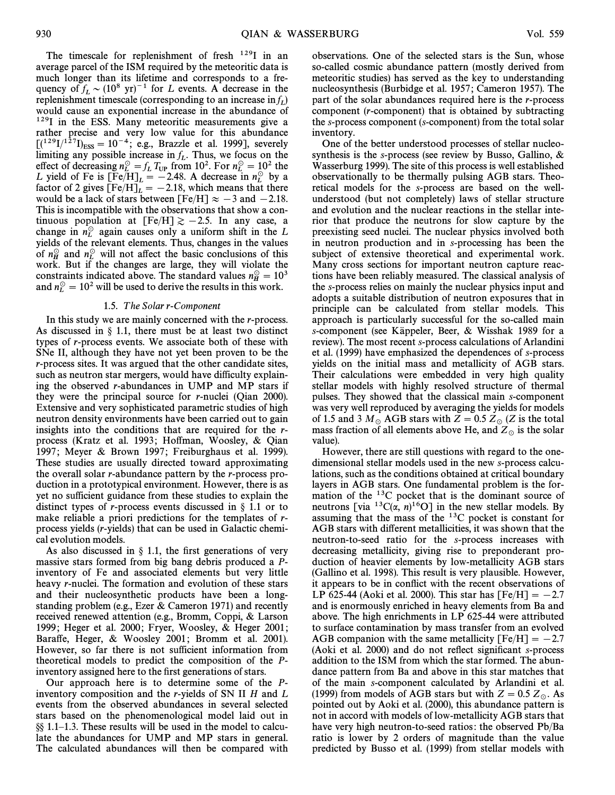The timescale for replenishment of fresh  $^{129}$ I in an average parcel of the ISM required by the meteoritic data is much longer than its lifetime and corresponds to a frequency of  $f_L \sim (10^8 \text{ yr})^{-1}$  for L events. A decrease in the replenishment timescale (corresponding to an increase in  $f_L$ ) would cause an exponential increase in the abundance of <sup>129</sup>I in the ESS. Many meteoritic measurements give a rather precise and very low value for this abundance  $[(1^{29}I)^{127}I)_{\text{ESS}} = 10^{-4}$ ; e.g., Brazzle et al. 1999], severely limiting any possible increase in f. Thus we focus on the limiting any possible increase in  $f<sub>L</sub>$ . Thus, we focus on the Effect of decreasing  $n_{\rm L}^{\odot} = f_{\rm L} T_{\rm UP}$  from 10<sup>2</sup>. For  $n_{\rm L}^{\odot} = 10^2$  the Let of decreasing  $n_{\rm L}^{\odot}$  from 10<sup>2</sup>. For  $n_{\rm L}^{\odot} = 10^2$  the L yield of Fe is  $[Fe/H]_L = -2.48$ . A decrease in  $n_L^{\circ}$  by a factor of 2 gives  $[Fe/H]_L = -2.18$  which means that there factor of 2 gives  $[Fe/H]_L = -2.18$ , which means that there would be a lack of stars between  $[Fe/H] \sim -3$  and  $-2.18$ would be a lack of stars between [Fe/H]  $\approx -3$  and  $-2.18$ . This is incompatible with the observations that show a continuous population at  $[Fe/H] \ge -2.5$ . In any case, a change in  $n_L^{\odot}$  again causes only a uniform shift in the L<br>vields of the relevant elements. Thus, changes in the values yields of the relevant elements. Thus, changes in the values of  $n_H^{\odot}$  and  $n_L^{\odot}$  will not affect the basic conclusions of this  $\frac{H}{W}$  and  $H_L$  will not ancet the classe conclusions of this work. But if the changes are large, they will violate the constraints indicated above. The standard values  $n_H^{\odot} = 10^3$ and  $n_E^0 = 10^2$  will be used to derive the results in this work.

### 1.5. The Solar r-Component

In this study we are mainly concerned with the r-process. As discussed in  $\S$  1.1, there must be at least two distinct types of r-process events. We associate both of these with SNe II, although they have not yet been proven to be the r-process sites. It was argued that the other candidate sites, such as neutron star mergers, would have difficulty explaining the observed r-abundances in UMP and MP stars if they were the principal source for r-nuclei (Qian 2000). Extensive and very sophisticated parametric studies of high neutron density environments have been carried out to gain insights into the conditions that are required for the rprocess (Kratz et al. 1993; Hoffman, Woosley, & Qian 1997; Meyer & Brown 1997; Freiburghaus et al. 1999). These studies are usually directed toward approximating the overall solar r-abundance pattern by the r-process production in a prototypical environment. However, there is as yet no sufficient guidance from these studies to explain the distinct types of *r*-process events discussed in  $\S$  1.1 or to make reliable a priori predictions for the templates of rprocess yields (r-yields) that can be used in Galactic chemical evolution models.

As also discussed in  $\S$  1.1, the first generations of very massive stars formed from big bang debris produced a Pinventory of Fe and associated elements but very little heavy r-nuclei. The formation and evolution of these stars and their nucleosynthetic products have been a longstanding problem (e.g., Ezer & Cameron 1971) and recently received renewed attention (e.g., Bromm, Coppi, & Larson 1999; Heger et al. 2000; Fryer, Woosley, & Heger 2001; Baraffe, Heger, & Woosley 2001; Bromm et al. 2001). However, so far there is not sufficient information from theoretical models to predict the composition of the Pinventory assigned here to the first generations of stars.

Our approach here is to determine some of the Pinventory composition and the r-yields of SN II  $H$  and  $L$ events from the observed abundances in several selected stars based on the phenomenological model laid out in  $\S$ [8] 1.1–1.3. These results will be used in the model to calculate the abundances for UMP and MP stars in general. The calculated abundances will then be compared with

observations. One of the selected stars is the Sun, whose so-called cosmic abundance pattern (mostly derived from meteoritic studies) has served as the key to understanding nucleosynthesis (Burbidge et al. 1957 ; Cameron 1957). The part of the solar abundances required here is the r-process component (r-component) that is obtained by subtracting the s-process component (s-component) from the total solar inventory.

One of the better understood processes of stellar nucleosynthesis is the s-process (see review by Busso, Gallino, & Wasserburg 1999). The site of this process is well established observationally to be thermally pulsing AGB stars. Theoretical models for the s-process are based on the wellunderstood (but not completely) laws of stellar structure and evolution and the nuclear reactions in the stellar interior that produce the neutrons for slow capture by the preexisting seed nuclei. The nuclear physics involved both in neutron production and in s-processing has been the subject of extensive theoretical and experimental work. Many cross sections for important neutron capture reactions have been reliably measured. The classical analysis of the s-process relies on mainly the nuclear physics input and adopts a suitable distribution of neutron exposures that in principle can be calculated from stellar models. This approach is particularly successful for the so-called main s-component (see Käppeler, Beer, & Wisshak 1989 for a review). The most recent s-process calculations of Arlandini et al. (1999) have emphasized the dependences of s-process yields on the initial mass and metallicity of AGB stars. Their calculations were embedded in very high quality stellar models with highly resolved structure of thermal pulses. They showed that the classical main s-component was very well reproduced by averaging the yields for models of 1.5 and 3  $M_\odot$  AGB stars with  $Z = 0.5 Z_\odot$  (Z is the total mass fraction of all elements above He, and  $Z_\odot$  is the solar value).

However, there are still questions with regard to the onedimensional stellar models used in the new s-process calculations, such as the conditions obtained at critical boundary layers in AGB stars. One fundamental problem is the formation of the  $13C$  pocket that is the dominant source of neutrons [via  ${}^{13}C(\alpha, n){}^{16}O$ ] in the new stellar models. By assuming that the mass of the  $^{13}$ C pocket is constant for AGB stars with different metallicities, it was shown that the neutron-to-seed ratio for the s-process increases with decreasing metallicity, giving rise to preponderant production of heavier elements by low-metallicity AGB stars (Gallino et al. 1998). This result is very plausible. However, it appears to be in conflict with the recent observations of LP 625-44 (Aoki et al. 2000). This star has  $[Fe/H] = -2.7$ and is enormously enriched in heavy elements from Ba and above. The high enrichments in LP 625-44 were attributed to surface contamination by mass transfer from an evolved AGB companion with the same metallicity  $[Fe/H] = -2.7$ (Aoki et al. 2000) and do not reflect significant s-process addition to the ISM from which the star formed. The abundance pattern from Ba and above in this star matches that of the main s-component calculated by Arlandini et al. (1999) from models of AGB stars but with  $Z = 0.5 Z_\odot$ . As pointed out by Aoki et al. (2000), this abundance pattern is not in accord with models of low-metallicity AGB stars that have very high neutron-to-seed ratios: the observed Pb/Ba ratio is lower by 2 orders of magnitude than the value predicted by Busso et al. (1999) from stellar models with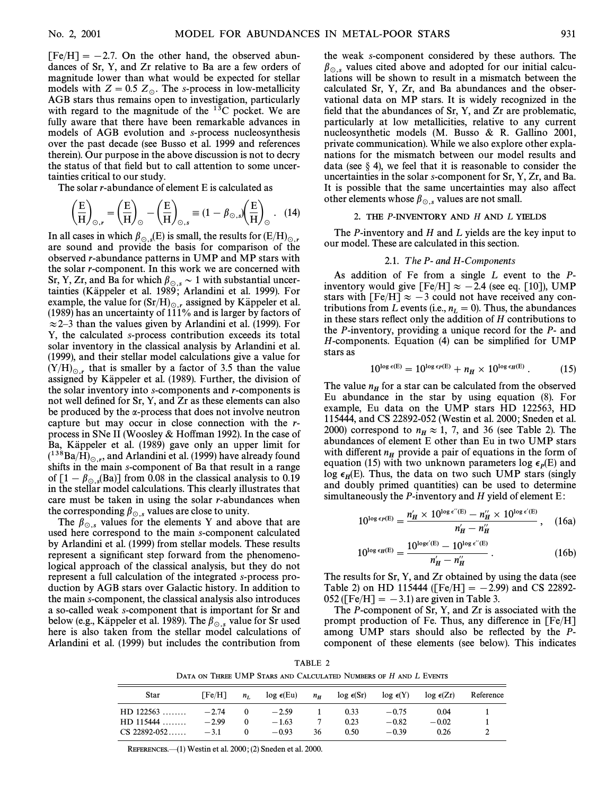$[Fe/H] = -2.7$ . On the other hand, the observed abundances of Sr, Y, and Zr relative to Ba are a few orders of magnitude lower than what would be expected for stellar models with  $Z = 0.5 Z_{\odot}$ . The s-process in low-metallicity AGB stars thus remains open to investigation, particularly with regard to the magnitude of the  $^{13}$ C pocket. We are fully aware that there have been remarkable advances in models of AGB evolution and s-process nucleosynthesis over the past decade (see Busso et al. 1999 and references therein). Our purpose in the above discussion is not to decry the status of that field but to call attention to some uncertainties critical to our study.

The solar r-abundance of element E is calculated as  
\n
$$
\left(\frac{E}{H}\right)_{\odot,r} = \left(\frac{E}{H}\right)_{\odot} - \left(\frac{E}{H}\right)_{\odot,s} \equiv (1 - \beta_{\odot,s})\left(\frac{E}{H}\right)_{\odot}.
$$
\n(14)

In all cases in which  $\beta_{\odot,s}(E)$  is small, the results for  $(E/H)_{\odot,r}$ In all cases in which  $\beta_{\odot}$ , (E) is small, the results for  $(E/H)_{\odot}$ , are sound and provide the basis for comparison of the observed r-abundance patterns in UMP and MP stars with the solar r-component. In this work we are concerned with Sr, Y, Zr, and Ba for which  $\beta_{\odot,s} \sim 1$  with substantial uncertainties (Känneler et al. 1989; Arlandini et al. 1999). For tainties (Käppeler et al. 1989; Arlandini et al. 1999). For example, the value for  $(Sr/H)_{\odot,r}$  assigned by Käppeler et al. (1989) has an uncertainty of 111% and is larger by factors of  $\approx$  2–3 than the values given by Arlandini et al. (1999). For Y, the calculated s-process contribution exceeds its total solar inventory in the classical analysis by Arlandini et al. (1999), and their stellar model calculations give a value for  $(Y/H)_{\odot,r}$  that is smaller by a factor of 3.5 than the value assigned by Käppeler et al. (1989). Further, the division of the solar inventory into s-components and r-components is not well defined for Sr, Y, and Zr as these elements can also be produced by the  $\alpha$ -process that does not involve neutron capture but may occur in close connection with the rprocess in SNe II (Woosley & Hoffman 1992). In the case of Ba, Käppeler et al. (1989) gave only an upper limit for  $(1^{38}Ba/H)_{\odot}$ , and Arlandini et al. (1999) have already found  $_6$  lifts in the main secomponent of Ba that result in a range shifts in the main s-component of Ba that result in a range of  $[1 - \beta_{\odot s} (Ba)]$  from 0.08 in the classical analysis to 0.19 in the stellar model calculations. This clearly illustrates that care must be taken in using the solar  $r$ -abundances when the corresponding  $\beta_{\odot,s}$  values are close to unity.

The  $\beta_{\odot,s}$  values for the elements Y and above that are used here correspond to the main s-component calculated by Arlandini et al. (1999) from stellar models. These results represent a significant step forward from the phenomenological approach of the classical analysis, but they do not represent a full calculation of the integrated s-process production by AGB stars over Galactic history. In addition to the main s-component, the classical analysis also introduces a so-called weak s-component that is important for Sr and below (e.g., Käppeler et al. 1989). The  $\beta_{\odot,s}$  value for Sr used here is also taken from the stellar model calculations of Arlandini et al. (1999) but includes the contribution from

the weak s-component considered by these authors. The  $\beta_{\odot,s}$  values cited above and adopted for our initial calculations will be shown to result in a mismatch between the calculated Sr, Y, Zr, and Ba abundances and the observational data on MP stars. It is widely recognized in the field that the abundances of  $Sr, Y,$  and  $Zr$  are problematic, particularly at low metallicities, relative to any current nucleosynthetic models (M. Busso & R. Gallino 2001, private communication). While we also explore other explanations for the mismatch between our model results and data (see  $\S$  4), we feel that it is reasonable to consider the uncertainties in the solar s-component for Sr, Y, Zr, and Ba. It is possible that the same uncertainties may also affect other elements whose  $\beta_{\odot,s}$  values are not small.

#### 2. THE P-INVENTORY AND H AND L YIELDS

The P-inventory and H and L yields are the key input to our model. These are calculated in this section.

#### 2.1. The P- and H-Components

As addition of Fe from a single L event to the Pinventory would give [Fe/H]  $\approx -2.4$  (see eq. [10]), UMP stars with [Fe/H]  $\approx -3$  could not have received any contributions from L events (i.e.,  $n_L = 0$ ). Thus, the abundances<br>in these stars reflect only the addition of H contributions to in these stars reflect only the addition of  $H$  contributions to the P-inventory, providing a unique record for the P- and  $H$ -components. Equation (4) can be simplified for UMP stars as

$$
10^{\log \epsilon(E)} = 10^{\log \epsilon_P(E)} + n_H \times 10^{\log \epsilon_H(E)}.
$$
 (15)

The value  $n_H$  for a star can be calculated from the observed Eu abundance in the star by using equation  $(8)$ . For example, Eu data on the UMP stars HD 122563, HD 115444, and CS 22892-052 (Westin et al. 2000 ; Sneden et al. 2000) correspond to  $n_H \approx 1$ , 7, and 36 (see Table 2). The abundances of element E other than Eu in two UMP stars abundances of element E other than Eu in two UMP stars with different  $n_H$  provide a pair of equations in the form of equation (15) with two unknown parameters  $\log \epsilon_p(E)$  and  $\log \epsilon_H(E)$ , thus, the data on two summers  $\log \epsilon_H(E)$  and<br>and doubly primed quantities) can be used to determine and doubly primed quantities) can be used to determine simultaneously the  $P$ -inventory and  $H$  yield of element  $E$ :

$$
10^{\log \epsilon_P(E)} = \frac{n'_H \times 10^{\log \epsilon''(E)} - n'_H \times 10^{\log \epsilon'(E)}}{n'_H - n'_H}, \quad (16a)
$$

$$
10^{\log \epsilon_H(E)} = \frac{10^{\log \epsilon'(E)} - 10^{\log \epsilon''(E)}}{n'_H - n'_H}.
$$
 (16b)

The results for Sr, Y, and Zr obtained by using the data (see Table 2) on HD 115444 ( $[Fe/H] = -2.99$ ) and CS 22892- $052$  ([Fe/H] =  $-3.1$ ) are given in Table 3.

The P-component of Sr, Y, and Zr is associated with the prompt production of Fe. Thus, any difference in  $[Fe/H]$ among UMP stars should also be reflected by the  $P$ component of these elements (see below). This indicates

TABLE 2 DATA ON THREE UMP STARS AND CALCULATED NUMBERS OF H AND L EVENTS

| Star           | $\Gamma$ Fe/H | $n_{I}$  | $log \epsilon(Eu)$ | $n_H$ | $log \epsilon(Sr)$ | $log \epsilon(Y)$ | $\log \epsilon(Zr)$ | Reference |
|----------------|---------------|----------|--------------------|-------|--------------------|-------------------|---------------------|-----------|
| $HD$ 122563    | $-2.74$       |          | $-2.59$            |       | 0.33               | $-0.75$           | 0.04                |           |
| $HD$ 115444    | $-2.99$       | $\bf{0}$ | $-1.63$            |       | 0.23               | $-0.82$           | $-0.02$             |           |
| $CS$ 22892-052 | $-3.1$        | v        | $-0.93$            | 36    | 0.50               | $-0.39$           | 0.26                |           |

REFERENCES.<sup>(1)</sup> Westin et al. 2000; (2) Sneden et al. 2000.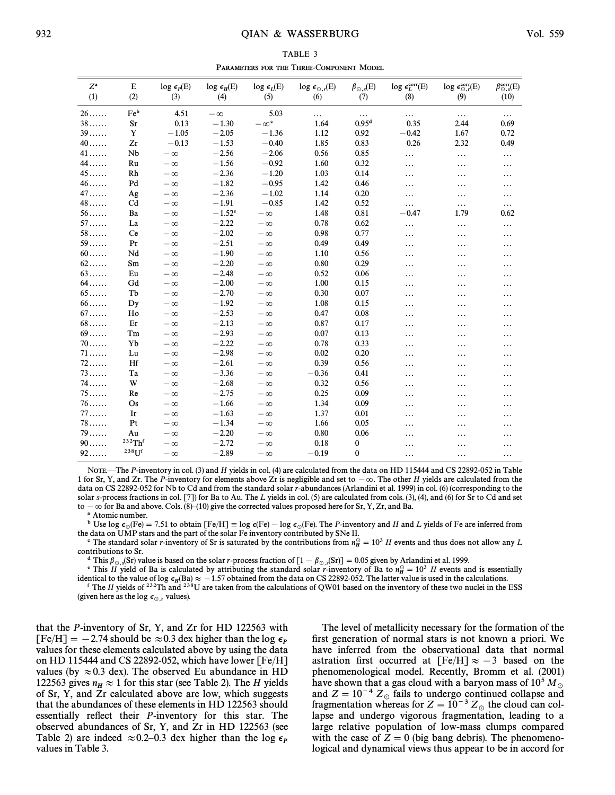| TABLE 3                                  |  |  |  |  |  |  |  |  |
|------------------------------------------|--|--|--|--|--|--|--|--|
| PARAMETERS FOR THE THREE-COMPONENT MODEL |  |  |  |  |  |  |  |  |

| $Z^{\rm a}$<br>(1) | E<br>(2) | $log \epsilon_p(E)$<br>(3) | $\log\,\epsilon_{\rm H}({\rm E})$<br>(4) | $\log\,\epsilon_L\rm(E)$<br>(5) | $\log \epsilon_{\odot,r}(\text{E})$<br>(6) | $\beta_{\odot,s}(\mathrm{E})$ | $log \epsilon_L^{\text{corr}}(E)$<br>(8) | $log \epsilon_{\odot,r}^{corr}(E)$<br>(9) | $\beta_{\odot,s}^{\rm corr}(E)$<br>(10) |
|--------------------|----------|----------------------------|------------------------------------------|---------------------------------|--------------------------------------------|-------------------------------|------------------------------------------|-------------------------------------------|-----------------------------------------|
|                    |          |                            |                                          |                                 |                                            | (7)                           |                                          |                                           |                                         |
| $26 \ldots$        | Feb      | 4.51                       | $-\infty$                                | 5.03                            | .                                          | $\ldots$                      | .                                        | $\cdots$                                  | .                                       |
| $38\dots$          | Sr       | 0.13                       | $-1.30$                                  | $-\infty^c$                     | 1.64                                       | 0.95 <sup>d</sup>             | 0.35                                     | 2.44                                      | 0.69                                    |
| 39                 | Y        | $-1.05$                    | $-2.05$                                  | $-1.36$                         | 1.12                                       | 0.92                          | $-0.42$                                  | 1.67                                      | 0.72                                    |
| $40 \ldots$        | Zr       | $-0.13$                    | $-1.53$                                  | $-0.40$                         | 1.85                                       | 0.83                          | 0.26                                     | 2.32                                      | 0.49                                    |
| $41 \ldots$        | Nb       | $-\infty$                  | $-2.56$                                  | $-2.06$                         | 0.56                                       | 0.85                          | .                                        | $\cdots$                                  | .                                       |
| 44.                | Ru       | $-\infty$                  | $-1.56$                                  | $-0.92$                         | 1.60                                       | 0.32                          | .                                        | .                                         | .                                       |
| $45\dots$          | Rh       | $-\infty$                  | $-2.36$                                  | $-1.20$                         | 1.03                                       | 0.14                          | .                                        | .                                         | .                                       |
| $46 \ldots$        | Pd       | $-\infty$                  | $-1.82$                                  | $-0.95$                         | 1.42                                       | 0.46                          | .                                        | .                                         | .                                       |
| $47\dots$          | Ag       | $-\infty$                  | $-2.36$                                  | $-1.02$                         | 1.14                                       | 0.20                          | .                                        | .                                         | .                                       |
| $48\dots$          | Cd       | $-\infty$                  | $-1.91$                                  | $-0.85$                         | 1.42                                       | 0.52                          | $\ldots$                                 | $\cdots$                                  | .                                       |
| 56                 | Ba       | $-\infty$                  | $-1.52^{\circ}$                          | $-\infty$                       | 1.48                                       | 0.81                          | $-0.47$                                  | 1.79                                      | 0.62                                    |
| $57 \ldots$        | La       | $-\infty$                  | $-2.22$                                  | $-\infty$                       | 0.78                                       | 0.62                          | .                                        | $\cdots$                                  | .                                       |
| 58                 | Ce       | $-\infty$                  | $-2.02$                                  | $-\infty$                       | 0.98                                       | 0.77                          | .                                        | $\cdots$                                  | .                                       |
| 59                 | Pr       | $-\infty$                  | $-2.51$                                  | $-\infty$                       | 0.49                                       | 0.49                          | .                                        | .                                         | .                                       |
| $60$               | Nd       | $-\infty$                  | $-1.90$                                  | $-\infty$                       | 1.10                                       | 0.56                          | .                                        | .                                         | .                                       |
| $62$               | Sm       | $-\infty$                  | $-2.20$                                  | $-\infty$                       | 0.80                                       | 0.29                          | .                                        | .                                         | .                                       |
| $63 \ldots$        | Eu       | $-\infty$                  | $-2.48$                                  | $-\infty$                       | 0.52                                       | 0.06                          | .                                        | .                                         | .                                       |
| $64$               | Gd       | $-\infty$                  | $-2.00$                                  | $-\infty$                       | 1.00                                       | 0.15                          | .                                        | .                                         | .                                       |
| $65 \ldots$        | Tb       | $-\infty$                  | $-2.70$                                  | $-\infty$                       | 0.30                                       | 0.07                          | .                                        | .                                         | .                                       |
| $66$               | Dy       | $-\infty$                  | $-1.92$                                  | $-\infty$                       | 1.08                                       | 0.15                          | .                                        | .                                         | .                                       |
| 67                 | Ho       | $-\infty$                  | $-2.53$                                  | $-\infty$                       | 0.47                                       | 0.08                          | .                                        | .                                         | .                                       |
| $68\dots$          | Er       | $-\infty$                  | $-2.13$                                  | $-\infty$                       | 0.87                                       | 0.17                          | .                                        | .                                         | .                                       |
| 69                 | Tm       | $-\infty$                  | $-2.93$                                  | $-\infty$                       | 0.07                                       | 0.13                          | .                                        |                                           | .                                       |
| 70                 | Yb       | $-\infty$                  | $-2.22$                                  | $-\infty$                       | 0.78                                       | 0.33                          | .                                        |                                           | .                                       |
| $71$               | Lu       | $-\infty$                  | $-2.98$                                  | $-\infty$                       | 0.02                                       | 0.20                          | .                                        | .                                         | .                                       |
| $72$               | Hf       | $-\infty$                  | $-2.61$                                  | $-\infty$                       | 0.39                                       | 0.56                          | .                                        | $\cdots$                                  | .                                       |
| $73$               | Ta       | $-\infty$                  | $-3.36$                                  | $-\infty$                       | $-0.36$                                    | 0.41                          | .                                        | $\cdots$                                  | .                                       |
| $74$               | W        | $-\infty$                  | $-2.68$                                  | $-\infty$                       | 0.32                                       | 0.56                          | .                                        | .                                         | .                                       |
| 75                 | Re       | $-\infty$                  | $-2.75$                                  | $-\infty$                       | 0.25                                       | 0.09                          | .                                        | .                                         | .                                       |
| 76                 | Os       | $-\infty$                  | $-1.66$                                  | $-\infty$                       | 1.34                                       | 0.09                          | .                                        | $\cdots$                                  | .                                       |
| 77                 | Ir       | $-\infty$                  | $-1.63$                                  | $-\infty$                       | 1.37                                       | 0.01                          | .                                        | $\cdots$                                  | .                                       |
| $78\dots$          | Pt       | $-\infty$                  | $-1.34$                                  | $-\infty$                       | 1.66                                       | 0.05                          | .                                        | $\cdots$                                  | .                                       |
| 79                 | Au       | $-\infty$                  | $-2.20$                                  | $-\infty$                       | 0.80                                       | 0.06                          | .                                        | .                                         | .                                       |
| 90                 | 232Thf   | $-\infty$                  | $-2.72$                                  | $-\infty$                       | 0.18                                       | 0                             | .                                        | .                                         | .                                       |
| $92$               | $238$ Uf | $-\infty$                  | $-2.89$                                  | $-\infty$                       | $-0.19$                                    | $\bf{0}$                      | .                                        | $\ddotsc$                                 | .                                       |

NOTE.—The P-inventory in col. (3) and H yields in col. (4) are calculated from the data on HD 115444 and CS 22892-052 in Table 1 for Sr, Y, and Zr. The P-inventory for elements above Zr is negligible and set to  $-\infty$ . The other H yields are calculated from the data on CS 22892-052 for Nb to Cd and from the standard solar r-abundances (Arlandini et al. 1999) in col. (6) (corresponding to the solar s-process fractions in col. [7]) for Ba to Au. The L yields in col. (5) are calculated from cols. (3), (4), and (6) for Sr to Cd and set to  $-\infty$  for Ba and above. Cols. (8)–(10) give the corrected values proposed here for Sr, Y, Zr, and Ba.

a Atomic number.

<sup>b</sup> Use log  $\epsilon_{\odot}$ (Fe) = 7.51 to obtain [Fe/H] = log  $\epsilon$ (Fe) – log  $\epsilon_{\odot}$ (Fe). The *P*-inventory and *H* and *L* yields of Fe are inferred from data on IMP stars and the part of the solar Fe inventory contributed b the data on UMP stars and the part of the solar Fe inventory contributed by SNe II.

<sup>c</sup> The standard solar r-inventory of Sr is saturated by the contributions from  $n_H^{\odot} = 10^3$  H events and thus does not allow any I artibutions to Sr contributions to Sr.

<sup>d</sup> This  $\beta_{\odot,s}$ (Sr) value is based on the solar r-process fraction of  $[1 - \beta_{\odot,s}(\text{Sr})] = 0.05$  given by Arlandini et al. 1999.

This H yield of Ba is calculated by attributing the standard solar r-inventory of Ba to  $n_H^2 = 10^3$  H events and is essentially<br>the H yield of Ba is calculated by attributing the standard solar r-inventory of Ba to  $n_H^2$ identical to the value of log  $\epsilon_H(Ba) \approx -1.57$  obtained from the data on CS 22892-052. The latter value is used in the calculations.<br>If The H vields of <sup>232</sup>Th and <sup>238</sup>U are taken from the calculations of OW01 based on th <sup>f</sup> The H yields of <sup>232</sup>Th and <sup>238</sup>U are taken from the calculations of QW01 based on the inventory of these two nuclei in the ESS

(given here as the log  $\epsilon_{\odot,r}$  values).

that the P-inventory of Sr, Y, and Zr for HD 122563 with  $[Fe/H] = -2.74$  should be  $\approx 0.3$  dex higher than the log  $\epsilon_p$ values for these elements calculated above by using the data on HD 115444 and CS 22892-052, which have lower [Fe/H] values (by  $\approx 0.3$  dex). The observed Eu abundance in HD 122563 gives  $n_H \approx 1$  for this star (see Table 2). The H yields of Sr, Y, and Zr calculated above are low, which suggests that the abundances of these elements in HD 122563 should essentially reflect their P-inventory for this star. The observed abundances of Sr, Y, and Zr in HD 122563 (see Table 2) are indeed  $\approx 0.2-0.3$  dex higher than the log  $\epsilon_P$  values in Table 3.

The level of metallicity necessary for the formation of the first generation of normal stars is not known a priori. We have inferred from the observational data that normal astration first occurred at  $[Fe/H] \approx -3$  based on the phenomenological model. Recently, Bromm et al. (2001) have shown that a gas cloud with a baryon mass of 10<sup>5</sup> M<sub>\oppgs</sub> and  $Z = 10^{-4} Z_{\odot}$  fails to undergo continued collapse and fragmentation whereas for  $Z = 10^{-3} Z_{\odot}$  the cloud can colfragmentation whereas for  $Z = 10^{-3} Z_{\odot}$  the cloud can col-<br>lange and undergo vigorous fragmentation, leading to a lapse and undergo vigorous fragmentation, leading to a large relative population of low-mass clumps compared with the case of  $Z = 0$  (big bang debris). The phenomenological and dynamical views thus appear to be in accord for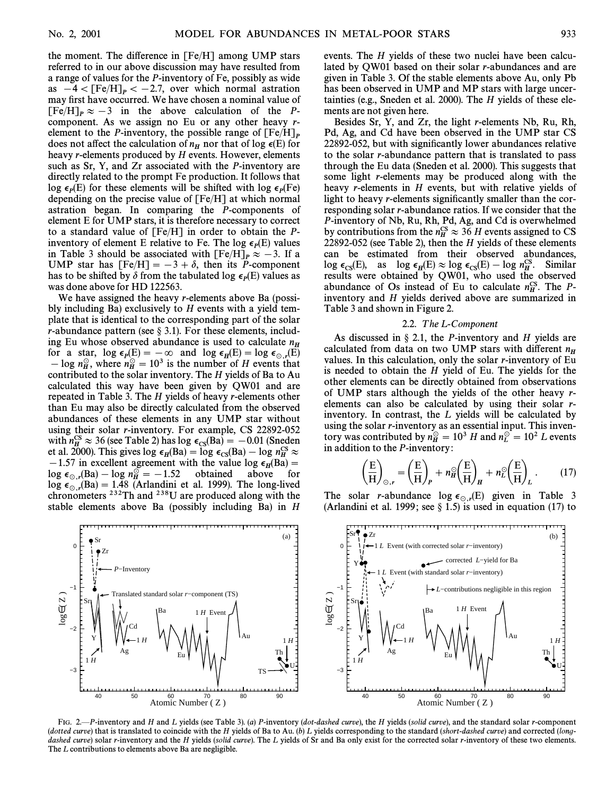the moment. The difference in  $[Fe/H]$  among UMP stars referred to in our above discussion may have resulted from a range of values for the P-inventory of Fe, possibly as wide as  $-4 < [Fe/H]_P< -2.7$ , over which normal astration may first have occurred. We have chosen a nominal value of  $[Fe/H]_P \approx -3$  in the above calculation of the Pcomponent. As we assign no Eu or any other heavy relement to the *P*-inventory, the possible range of  $[Fe/H]_P$  does not affect the calculation of  $n_H$  nor that of log  $\epsilon(E)$  for heavy *r*-elements produced by *H* events. However, elements such as Sr, Y, and Zr associated with the P-inventory are directly related to the prompt Fe production. It follows that log  $\epsilon_p(E)$  for these elements will be shifted with  $\log \epsilon_p(F\epsilon)$ <br>depending on the precise value of  $[Fe/H]$  at which normal depending on the precise value of  $[Fe/H]$  at which normal astration began. In comparing the P-components of element E for UMP stars, it is therefore necessary to correct to a standard value of [Fe/H] in order to obtain the Pinventory of element E relative to Fe. The log  $\epsilon_p(E)$  values inventory of clearly to relative to 1 c. The log equely values<br>in Table 3 should be associated with  $[Fe/H]_P \approx -3$ . If a UMP star has  $[Fe/H] = -3 + \delta$ , then its P-component has to be shifted by  $\delta$  from the tabulated log  $\epsilon_p(E)$  values as was done above for HD 122563. was done above for HD 122563.

We have assigned the heavy *r*-elements above Ba (possibly including Ba) exclusively to  $H$  events with a yield template that is identical to the corresponding part of the solar r-abundance pattern (see  $\S$  3.1). For these elements, including Eu whose observed abundance is used to calculate  $n_H$ for a star,  $\log \epsilon_p(E) = -\infty$  and  $\log \epsilon_p(E) = \log \epsilon_{\odot,r}(E)$  $\frac{1}{2}$  on the  $n_H^{\odot}$  = 10<sup>3</sup> is the number of H events that  $\frac{1}{2}$  on the number of H events that  $\frac{1}{2}$  and  $\frac{1}{2}$  on the number of H events that contributed to the solar inventory. The  $H$  yields of Ba to Au calculated this way have been given by QW01 and are repeated in Table 3. The H yields of heavy r-elements other than Eu may also be directly calculated from the observed abundances of these elements in any UMP star without using their solar r-inventory. For example, CS 22892-052 with  $n_H^{\text{CS}} \approx 36$  (see Table 2) has  $\log \epsilon_{\text{CS}}(\text{Ba}) = -0.01$  (Sneden net al. 2000). This gives  $\log \epsilon$  (Ba) –  $\log \epsilon$  (Ba) –  $\log n_{\text{CS}}^{\text{CS}} \sim$ et al. 2000). This gives log  $\epsilon_{\rm IS}$ (Ba) = log  $\epsilon_{\rm CS}$ (Ba) = log  $n_{\rm H}^{\rm CS} \approx 1.2000$ . This gives log  $\epsilon_{\rm BI}^{\rm CS}$  (Ba) = log  $n_{\rm H}^{\rm CS} \approx 1.57$  in excellent agreement with the value log  $\epsilon$  (Ba) =  $-1.57$  in excellent agreement with the value log  $\epsilon_H(Ba) = -1.57$  in excellent agreement with the value log  $\epsilon_H(Ba) =$ above log  $\epsilon_{\odot,r}$ (Ba) – log  $n_H^{\odot} = -1.52$  obtained above for log  $\epsilon_{\odot,r}$ (Ba) = 1.48 (Arlandini et al. 1999). The long-lived chromometers 232Th and 238H are produced along with the  $(Ba) - \log n_H^{\odot} = -1.52$ chronometers  $^{232}$ Th and  $^{238}$ U are produced along with the stable elements above Ba (possibly including Ba) in H

> 40 50 60 70 80 90 Atomic Number ( Z )

slated standard solar *r*−component (TS)

Ba

Ag Fu

*P*−Inventory

Cd

1 *H* Event

 $\begin{array}{ccc} 1 & H \end{array}$   $\begin{array}{ccc} V \end{array}$   $\begin{array}{ccc} \end{array}$   $\begin{array}{ccc} \end{array}$   $\begin{array}{ccc} \end{array}$   $\begin{array}{ccc} \end{array}$   $\begin{array}{ccc} \end{array}$   $\begin{array}{ccc} \end{array}$   $\begin{array}{ccc} \end{array}$   $\begin{array}{ccc} \end{array}$   $\begin{array}{ccc} \end{array}$   $\begin{array}{ccc} \end{array}$   $\begin{array}{ccc} \end{array}$   $\begin{array}{ccc} \end{array}$   $\begin{array}{$ 

−3

−2

Y

1 *H*

Sr

 $log\epsilon$  (  $Z$ 

−1

0

Sr

Zr

lated by QW01 based on their solar r-abundances and are given in Table 3. Of the stable elements above Au, only Pb has been observed in UMP and MP stars with large uncertainties (e.g., Sneden et al. 2000). The H yields of these elements are not given here.

events. The H yields of these two nuclei have been calcu-

Besides Sr, Y, and Zr, the light r-elements Nb, Ru, Rh, Pd, Ag, and Cd have been observed in the UMP star CS 22892-052, but with significantly lower abundances relative to the solar r-abundance pattern that is translated to pass through the Eu data (Sneden et al. 2000). This suggests that some light r-elements may be produced along with the heavy r-elements in H events, but with relative yields of light to heavy r-elements significantly smaller than the corresponding solar r-abundance ratios. If we consider that the P-inventory of Nb, Ru, Rh, Pd, Ag, and Cd is overwhelmed by contributions from the  $n_H^{\text{CS}} \approx 36$  H events assigned to CS 32892.052 (see Table 2), then the H vields of these elements 22892-052 (see Table 2), then the H yields of these elements can be estimated from their observed abundances,  $\log \epsilon_{CS}(E)$ , as  $\log \epsilon_H(E) \approx \log \epsilon_{CS}(E) - \log n_H^{CS}$ . Similar results were obtained by QW01, who used the observed abundance of Os instead of Eu to calculate  $n_H^{\text{CS}}$ . The P-<br>inventory and H vields derived above are summarized in inventory and H yields derived above are summarized in Table 3 and shown in Figure 2.

## 2.2. The L-Component

As discussed in  $\S$  2.1, the *P*-inventory and *H* yields are calculated from data on two UMP stars with different  $n<sub>H</sub>$ values. In this calculation, only the solar  $r$ -inventory of Eu is needed to obtain the  $H$  yield of Eu. The yields for the other elements can be directly obtained from observations of UMP stars although the yields of the other heavy relements can also be calculated by using their solar rinventory. In contrast, the L yields will be calculated by using the solar r-inventory as an essential input. This inventory was contributed by  $n_H^{\odot} = 10^3$  H and  $n_L^{\odot} = 10^2$  L events<br>in addition to the P-inventory

in addition to the *P*-inventory:  
\n
$$
\left(\frac{E}{H}\right)_{\odot,r} = \left(\frac{E}{H}\right)_P + n_H^{\odot} \left(\frac{E}{H}\right)_H + n_L^{\odot} \left(\frac{E}{H}\right)_L.
$$
\n(17)

The solar r-abundance  $\log \epsilon_{\odot r}(E)$  given in Table 3 (Arlandini et al. 1999; see § 1.5) is used in equation (17) to



(a)

Th U

TS

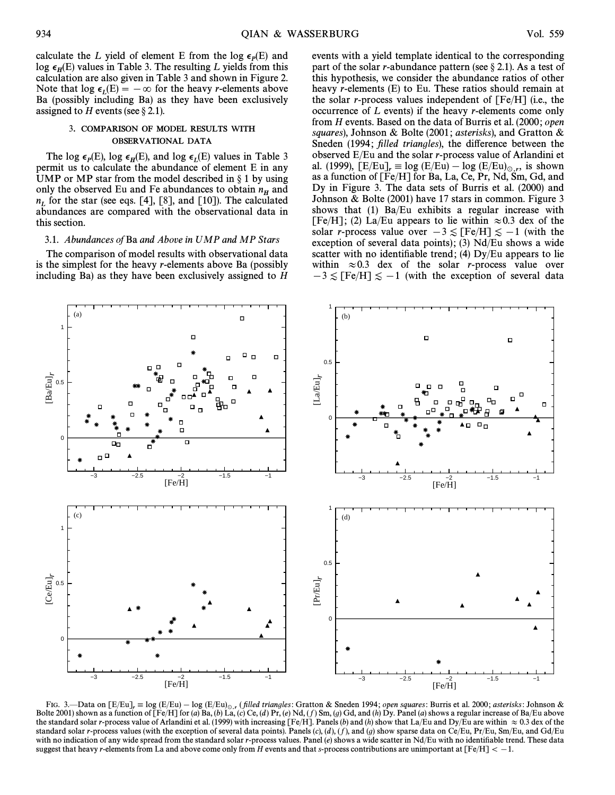calculate the L yield of element E from the log  $\epsilon_p(E)$  and between the E yields in Table 3. The resulting L yields from this  $\log \epsilon_{\mu}(E)$  and  $\epsilon_{\text{m}}$  and  $\epsilon_{\text{m}}$  in Table 3. The resulting L yields from this Houra calculation are also given in Table 3 and shown in Figure 2. Note that  $\log \epsilon_L(E) = -\infty$  for the heavy *r*-elements above<br>Ba (possibly including Ba) as they have been exclusively Ba (possibly including Ba) as they have been exclusively assigned to H events (see  $\S 2.1$ ).

## 3. COMPARISON OF MODEL RESULTS WITH OBSERVATIONAL DATA

The log  $\epsilon_p(E)$ , log  $\epsilon_H(E)$ , and log  $\epsilon_L(E)$  values in Table 3 The log e<sub>p(L)</sub>, log e<sub>H(L)</sub>, and log e<sub>L(L)</sub> values in Table 5<br>permit us to calculate the abundance of element E in any UMP or MP star from the model described in  $\S 1$  by using only the observed Eu and Fe abundances to obtain  $n<sub>H</sub>$  and  $n_L$  for the star (see eqs. [4], [8], and [10]). The calculated abundances are compared with the observational data in this section.

## 3.1. Abundances of Ba and Above in UMP and MP Stars

The comparison of model results with observational data is the simplest for the heavy r-elements above Ba (possibly including Ba) as they have been exclusively assigned to H

events with a yield template identical to the corresponding part of the solar r-abundance pattern (see  $\S 2.1$ ). As a test of this hypothesis, we consider the abundance ratios of other heavy r-elements (E) to Eu. These ratios should remain at the solar *r*-process values independent of  $[Fe/H]$  (i.e., the occurrence of L events) if the heavy r-elements come only from H events. Based on the data of Burris et al. (2000; open squares), Johnson & Bolte (2001; asterisks), and Gratton & Sneden (1994; filled triangles), the difference between the observed E/Eu and the solar r-process value of Arlandini et al. (1999),  $[E/Eu]_r \equiv \log(E/Eu) - \log(E/Eu)_{\odot,r}$ , is shown<br>as a function of  $[Fe/H]$  for Ba, La, Ce, Pr, Nd, Sm, Gd, and as a function of [Fe/H] for Ba, La, Ce, Pr, Nd, Sm, Gd, and Dy in Figure 3. The data sets of Burris et al. (2000) and Johnson & Bolte (2001) have 17 stars in common. Figure 3 shows that (1) Ba/Eu exhibits a regular increase with [Fe/H]; (2) La/Eu appears to lie within  $\approx 0.3$  dex of the solar *r*-process value over  $-3 \leq$  [Fe/H] $\leq -1$  (with the exception of several data points); (3)  $Nd/Eu$  shows a wide scatter with no identifiable trend; (4)  $Dy/Eu$  appears to lie within  $\approx 0.3$  dex of the solar r-process value over  $-3 \lesssim$  [Fe/H] $\lesssim -1$  (with the exception of several data



FIG. 3.—Data on  $[E/Eu]_r \equiv \log (E/Eu) - \log (E/Eu)_{\odot,r}$  (filled triangles: Gratton & Sneden 1994; open squares: Burris et al. 2000; asterisks: Johnson & Bolte 2001) shown as a function of  $[Fe/H]$  for (a) Ba, (b) La, (c) Ce, (d) Pr, (e) Nd, (f) Sm, (g) Gd, and (h) Dy. Panel (a) shows a regular increase of Ba/Eu above the standard solar r-process value of Arlandini et al. (1999) with increasing [Fe/H]. Panels (b) and (h) show that La/Eu and Dy/Eu are within  $\approx 0.3$  dex of the standard solar r-process values (with the exception of several data points). Panels  $(c)$ ,  $(d)$ ,  $(f)$ , and  $(g)$  show sparse data on Ce/Eu, Pr/Eu, Sm/Eu, and Gd/Eu with no indication of any wide spread from the standard solar r-process values. Panel  $(e)$  shows a wide scatter in Nd/Eu with no identifiable trend. These data suggest that heavy r-elements from La and above come only from H events and that s-process contributions are unimportant at  $[Fe/H] < -1$ .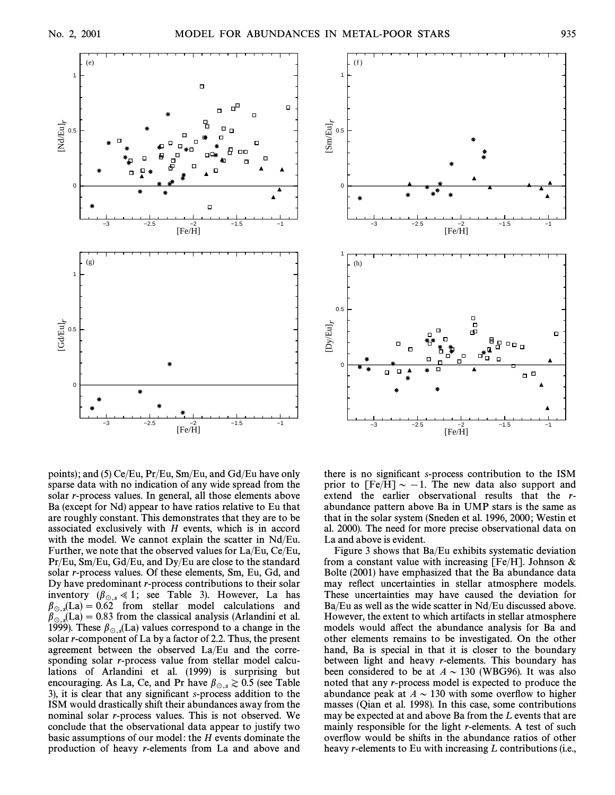



points); and (5) Ce/Eu,  $Pr/Eu$ ,  $Sm/Eu$ , and  $Gd/Eu$  have only sparse data with no indication of any wide spread from the solar r-process values. In general, all those elements above Ba (except for Nd) appear to have ratios relative to Eu that are roughly constant. This demonstrates that they are to be associated exclusively with  $H$  events, which is in accord with the model. We cannot explain the scatter in Nd/Eu. Further, we note that the observed values for La/Eu, Ce/Eu, Pr/Eu, Sm/Eu, Gd/Eu, and Dy/Eu are close to the standard solar r-process values. Of these elements, Sm, Eu, Gd, and Dy have predominant r-process contributions to their solar inventory ( $\beta_{\odot s} \ll 1$ ; see Table 3). However, La has  $\beta_{\text{e,s}}(La) = 0.62$  from stellar model calculations and  $\beta_{\text{e,s}}(La) = 0.83$  from the classical analysis (Arlandini et al.  $\beta_{\text{O,s}}(La) = 0.83$  from the classical analysis (Arlandini et al.  $\beta_{\text{O,s}}(La)$ ) These  $\beta_{\text{S,s}}(I,a)$  values correspond to a change in the 1999). These  $\beta_{\text{o.s}}(La)$  values correspond to a change in the solar r-component of La by a factor of 2.2. Thus, the present agreement between the observed La/Eu and the corresponding solar r-process value from stellar model calculations of Arlandini et al. (1999) is surprising but encouraging. As La, Ce, and Pr have  $\beta_{\odot,s} \gtrsim 0.5$  (see Table 3), it is clear that any significant s-process addition to the ISM would drastically shift their abundances away from the nominal solar r-process values. This is not observed. We conclude that the observational data appear to justify two basic assumptions of our model : the H events dominate the production of heavy r-elements from La and above and there is no significant s-process contribution to the ISM prior to  $[Fe/H] \sim -1$ . The new data also support and extend the earlier observational results that the rabundance pattern above Ba in UMP stars is the same as that in the solar system (Sneden et al. 1996, 2000 ; Westin et al. 2000). The need for more precise observational data on La and above is evident.

Figure 3 shows that Ba/Eu exhibits systematic deviation from a constant value with increasing [Fe/H]. Johnson  $&$ Bolte (2001) have emphasized that the Ba abundance data may reflect uncertainties in stellar atmosphere models. These uncertainties may have caused the deviation for Ba/Eu as well as the wide scatter in Nd/Eu discussed above. However, the extent to which artifacts in stellar atmosphere models would affect the abundance analysis for Ba and other elements remains to be investigated. On the other hand, Ba is special in that it is closer to the boundary between light and heavy r-elements. This boundary has been considered to be at  $A \sim 130$  (WBG96). It was also noted that any r-process model is expected to produce the abundance peak at  $A \sim 130$  with some overflow to higher masses (Qian et al. 1998). In this case, some contributions may be expected at and above Ba from the L events that are mainly responsible for the light r-elements. A test of such overflow would be shifts in the abundance ratios of other heavy *r*-elements to Eu with increasing *L* contributions (i.e.,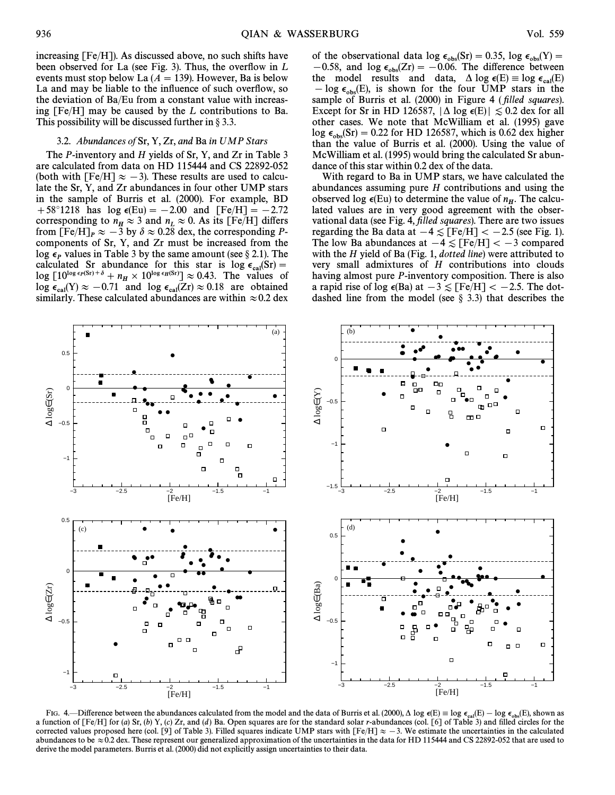increasing [Fe/H]). As discussed above, no such shifts have been observed for La (see Fig. 3). Thus, the overflow in  $L$ events must stop below La  $(A = 139)$ . However, Ba is below La and may be liable to the influence of such overflow, so the deviation of Ba/Eu from a constant value with increasing  $[Fe/H]$  may be caused by the L contributions to Ba. This possibility will be discussed further in  $\S 3.3$ .

## 3.2. Abundances of Sr, Y, Zr, and Ba in UMP Stars

The *P*-inventory and *H* yields of Sr, Y, and Zr in Table 3 are calculated from data on HD 115444 and CS 22892-052 (both with  $[Fe/H] \approx -3$ ). These results are used to calculate the Sr, Y, and Zr abundances in four other UMP stars in the sample of Burris et al. (2000). For example, BD  $+58^{\circ}1218$  has  $\log \epsilon(Eu) = -2.00$  and  $[Fe/H] = -2.72$ corresponding to  $n_H \approx 3$  and  $n_L \approx 0$ . As its [Fe/H] differs from  $[Fe/H]$   $\sim$  3 by  $\delta \approx 0.28$  day the corresponding P from  $\overline{[Fe/H]}_P \approx -3$  by  $\delta \approx 0.28$  dex, the corresponding Pcomponents of Sr, Y, and Zr must be increased from the log  $\epsilon_p$  values in Table 3 by the same amount (see § 2.1). The calculated Sr abundance for this star is log  $\epsilon_{\text{cal}}(Sr)$  =  $\epsilon_{\text{log}}(F10^{\log \epsilon_F(Sr) + \delta} + n \times 10^{\log \epsilon_F(Sr)} \approx 0.43$ . The values of  $\log [10^{\log \epsilon_P(\text{Sr})+\delta} + n_H \times 10^{\log \epsilon_H(\text{Sr})}] \approx 0.43.$  The values of  $\log \epsilon_P(\text{Sr}) \approx 0.71$  and  $\log \epsilon_P(\text{Sr}) \approx 0.18$  are obtained  $\log \epsilon_{\text{cal}}(Y) \approx -0.71$  and  $\log \epsilon_{\text{cal}}(Zr) \approx 0.18$  are obtained<br>similarly These calculated abundances are within  $\sim 0.2$  dex similarly. These calculated abundances are within  $\approx 0.2$  dex

of the observational data  $\log \epsilon_{obs}(ST) = 0.35$ ,  $\log \epsilon_{obs}(Y) =$ <br>-0.58, and  $\log \epsilon_{ST} (Tr) = -0.06$ . The difference between  $(-0.58, \text{ and } \log \epsilon_{obs}(Zr)) = -0.06$ . The difference between the model results and data A log  $\epsilon_{\text{D}}(F) = \log \epsilon_{\text{D}}(F)$ the model results and data,  $\Delta \log \epsilon(E) \equiv \log \epsilon_{\text{cal}}(E)$ <br>- log  $\epsilon$  (E) is shown for the four UMP stars in the  $\begin{bmatrix} -\log \epsilon_{obs}(E) \\ \text{is shown for the four UMP stars in the sample of Burris et al. (2000) in Figure A (filled squares). \end{bmatrix}$ sample of Burris et al. (2000) in Figure 4 (*filled squares*). Except for Sr in HD 126587,  $|\Delta \log \epsilon(E)| \lesssim 0.2$  dex for all other cases. We note that McWilliam et al. (1995) gave  $\log \epsilon_{\rm obs}$ (Sr) = 0.22 for HD 126587, which is 0.62 dex higher than the value of Burris et al. (2000). Using the value of McWilliam et al. (1995) would bring the calculated Sr abundance of this star within 0.2 dex of the data.

With regard to Ba in UMP stars, we have calculated the abundances assuming pure H contributions and using the observed log  $\epsilon$ (Eu) to determine the value of  $n<sub>H</sub>$ . The calcu-<br>lated values are in very good agreement with the obserlated values are in very good agreement with the observational data (see Fig. 4, filled squares). There are two issues regarding the Ba data at  $-4 \leq$  [Fe/H]  $<-2.5$  (see Fig. 1). The low Ba abundances at  $-4 \lesssim$  [Fe/H]  $<-3$  compared with the  $H$  yield of Ba (Fig. 1, *dotted line*) were attributed to very small admixtures of H contributions into clouds having almost pure P-inventory composition. There is also a rapid rise of log  $\epsilon$ (Ba) at  $-3 \leq$  [Fe/H]  $<-2.5$ . The dotdashed line from the model (see  $\S$  3.3) that describes the



FIG. 4.—Difference between the abundances calculated from the model and the data of Burris et al. (2000),  $\Delta \log \epsilon(E) = \log \epsilon_{cal}(E) - \log \epsilon_{obs}(E)$ , shown as the standard solor is the standard solor republication of  $\text{Fekle}$  and fi a function of  $[Fe/H]$  for (a) Sr, (b) Y, (c) Zr, and (d) Ba. Open squares are for the standard solar r-abundances (col. [6] of Table 3) and filled circles for the corrected values proposed here (col. [9] of Table 3). Filled squares indicate UMP stars with  $[Fe/H] \approx -3$ . We estimate the uncertainties in the calculated abundances to be  $\approx$  0.2 dex. These represent our generalized approximation of the uncertainties in the data for HD 115444 and CS 22892-052 that are used to derive the model parameters. Burris et al. (2000) did not explicitly assign uncertainties to their data.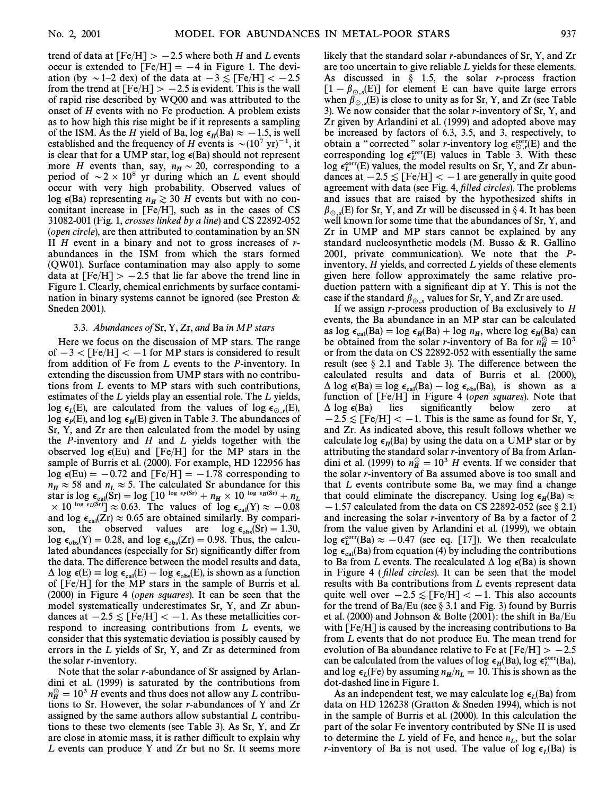trend of data at  $[Fe/H] > -2.5$  where both H and L events occur is extended to  $[Fe/H] = -4$  in Figure 1. The deviation (by  $\sim$  1–2 dex) of the data at  $-3 \le$  [Fe/H]  $< -2.5$ from the trend at  $[Fe/H] > -2.5$  is evident. This is the wall of rapid rise described by WQ00 and was attributed to the onset of H events with no Fe production. A problem exists as to how high this rise might be if it represents a sampling of the ISM. As the H yield of Ba, log  $\epsilon_H(Ba) \approx -1.5$ , is well established and the frequency of H events is  $\sim (10^7 \text{ yr})^{-1}$ , it is clear that for a UMP star, log  $\epsilon(Ba)$  should not represent more H events than, say,  $n_H \sim 20$ , corresponding to a negative series of  $\sim 2 \times 10^8$  yr during which an L event should period of  $\sim 2 \times 10^8$  yr during which an L event should occur with very high probability. Observed values of log  $\epsilon(Ba)$  representing  $n_H \geq 30$  H events but with no concomitant increase in [Fe/H], such as in the cases of CS 31082-001 (Fig. 1, crosses linked by a line) and CS 22892-052 (open circle), are then attributed to contamination by an SN II  $H$  event in a binary and not to gross increases of  $r$ abundances in the ISM from which the stars formed (QW01). Surface contamination may also apply to some data at  $[Fe/H] > -2.5$  that lie far above the trend line in Figure 1. Clearly, chemical enrichments by surface contamination in binary systems cannot be ignored (see Preston & Sneden 2001).

### 3.3. Abundances of Sr, Y, Zr, and Ba in MP stars

Here we focus on the discussion of MP stars. The range of  $-3 <$  [Fe/H]  $< -1$  for MP stars is considered to result from addition of Fe from L events to the P-inventory. In extending the discussion from UMP stars with no contributions from L events to MP stars with such contributions, estimates of the L yields play an essential role. The L yields, log  $\epsilon_L(E)$ , are calculated from the values of log  $\epsilon_{\odot,r}(E)$ ,<br>log  $\epsilon_E(F)$  and log  $\epsilon_E(F)$  given in Table 3. The abundances of log  $\epsilon_E(x)$ , and blog  $\epsilon_H(x)$  by the in Table 3. The abundances of  $\epsilon_E(x)$ ,  $\epsilon_E(x)$ , and  $\delta_E(x)$  given in Table 3. The abundances of  $\text{St}_R(Y)$ , and  $\text{St}_R(Y)$  given in Table 5. The abandances of  $\text{St}_R(Y)$ , and  $\text{St}_R(Y)$  are then calculated from the model by using the  $P$ -inventory and  $H$  and  $L$  yields together with the observed log  $\epsilon$ (Eu) and [Fe/H] for the MP stars in the sample of Burris et al. (2000). For example, HD 122956 has  $\log \epsilon$ (Eu) = -0.72 and [Fe/H] = -1.78 corresponding to  $n_H \approx 58$  and  $n_L \approx 5$ . The calculated Sr abundance for this<br>star is log  $\epsilon_{\text{cal}}(Sr) = \log [10^{\log \epsilon_P(Sr)} + n_H \times 10^{\log \epsilon_H(Sr)} + n_L \times 10^{\log \epsilon_H(Sr)}] \sim 0.63$ . The values of log  $\epsilon_V(N) \sim -0.08$ Let  $\begin{array}{c} \text{Equation 1: } \text{Log } \epsilon_{\text{cal}}(\text{Sr}) - \text{Log } \epsilon_{\text{rel}}(\text{D}) < 10 \\ \times 10^{\log} \epsilon_{\text{cal}}(\text{Sr}) \approx 0.65. \text{ The values of log } \epsilon_{\text{cal}}(\text{Y}) \approx -0.08 \\ \text{and log } \epsilon_{\text{cal}}(\text{Zr}) \sim 0.65 \text{ are obtained similarly. By comparison:} \end{array}$ and  $\log \epsilon_{\text{cal}}(Zr) \approx 0.65$  are obtained similarly. By compari-<br>son the observed values are  $\log \epsilon (Sr) = 1.30$ son, the observed values are  $\log \epsilon_{\text{obs}}(\text{Sr}) = 1.30$ ,<br>log  $\epsilon_{\text{V}}(\text{V}) = 0.28$  and  $\log \epsilon_{\text{V}}(\text{Zr}) = 0.98$  Thus the calculation  $\log \epsilon_{\text{obs}}(Y) = 0.28$ , and  $\log \epsilon_{\text{obs}}(Zr) = 0.98$ . Thus, the calculated abundances (especially for Sr) significantly differ from the data. The difference between the model results and data,  $\Delta$  log  $\epsilon$ (E)  $\equiv$  log  $\epsilon_{cal}(E) - \log \epsilon_{obs}(E)$ , is shown as a function of Euris at all  $\epsilon_{obs}(E)$ of [Fe/H] for the MP stars in the sample of Burris et al. (2000) in Figure 4 (open squares). It can be seen that the model systematically underestimates Sr, Y, and Zr abundances at  $-2.5 \leq$  [Fe/H]  $<-1$ . As these metallicities correspond to increasing contributions from L events, we consider that this systematic deviation is possibly caused by errors in the L yields of Sr, Y, and Zr as determined from the solar r-inventory.

Note that the solar r-abundance of Sr assigned by Arlandini et al. (1999) is saturated by the contributions from  $n_H^{\odot} = 10^3$  H events and thus does not allow any L contribu-<br>tions to Sr. However, the solar r-abundances of V and Zr. tions to Sr. However, the solar r-abundances of Y and Zr assigned by the same authors allow substantial L contributions to these two elements (see Table 3). As Sr, Y, and Zr are close in atomic mass, it is rather difficult to explain why L events can produce Y and Zr but no Sr. It seems more likely that the standard solar r-abundances of Sr, Y, and Zr are too uncertain to give reliable L yields for these elements. As discussed in  $\S$  1.5, the solar *r*-process fraction  $[1-\beta_{\odot,s}(E)]$  for element E can have quite large errors<br>when  $\beta$ , (E) is close to unity as for Sr, Y, and Zr (see Table when  $\beta_{\odot s}(E)$  is close to unity as for Sr, Y, and Zr (see Table 3). We now consider that the solar *r*-inventory of Sr, Y, and 3). Zr given by Arlandini et al. (1999) and adopted above may be increased by factors of 6.3, 3.5, and 3, respectively, to obtain a "corrected" solar r-inventory  $\log \epsilon_{\text{tot}}^{\text{corr}}(E)$  and the corresponding  $\log \epsilon_{\text{tot}}^{\text{corr}}(E)$  values in Table 3. With these corresponding  $log \epsilon_L^{\text{corr}}(E)$  values in Table 3. With these Log e<sup>corr</sup>(E) values, the model results on Sr, Y, and Zr abun-<br>denotes the model results on Sr, Y, and Zr abundances at  $-2.5 \leq$  [Fe/H]  $<-1$  are generally in quite good agreement with data (see Fig. 4, filled circles). The problems and issues that are raised by the hypothesized shifts in  $\beta_{\odot,s}(E)$  for Sr, Y, and Zr will be discussed in § 4. It has been well known for some time that the abundances of Sr, Y, and well known for some time that the abundances of Sr, Y, and Zr in UMP and MP stars cannot be explained by any standard nucleosynthetic models (M. Busso & R. Gallino 2001, private communication). We note that the Pinventory,  $H$  yields, and corrected  $L$  yields of these elements given here follow approximately the same relative production pattern with a significant dip at Y. This is not the case if the standard  $\beta_{\odot,s}$  values for Sr, Y, and Zr are used.

If we assign r-process production of Ba exclusively to  $H$ events, the Ba abundance in an MP star can be calculated as  $\log \epsilon_{cal}(Ba) = \log \epsilon_H(Ba) + \log n_H$ , where  $\log \epsilon_H(Ba)$  can<br>be obtained from the solar numbers of Ba for  $n^{\circ} - 10^3$ the obtained from the solar r-inventory of Ba for  $n_H^{\odot} = 10^3$ or from the data on CS 22892-052 with essentially the same result (see  $\S$  2.1 and Table 3). The difference between the calculated results and data of Burris et al. (2000),  $\Delta$  log  $\epsilon$ (Ba) = log  $\epsilon_{cal}(Ba)$  - log  $\epsilon_{obs}(Ba)$ , is shown as a calculation of  $[Fe/H]$  in Figure 4 (open squares). Note that function of [Fe/H] in Figure 4 (open squares). Note that  $\Delta$  log  $\epsilon$ (Ba) lies significantly below zero at  $-2.5 \leq$  [Fe/H]  $<-1$ . This is the same as found for Sr, Y, and Zr. As indicated above, this result follows whether we calculate log  $\epsilon_H(Ba)$  by using the data on a UMP star or by  $\alpha$  attributing the standard solar *r*-inventory of Ba from Arlandini et al. (1999) to  $n_H^{\odot} = 10^3$  H events. If we consider that the solar numerory of Ba assumed above is too small and the solar r-inventory of Ba assumed above is too small and that  $L$  events contribute some Ba, we may find a change that could eliminate the discrepancy. Using  $\log \epsilon_H(Ba) \approx$  $-1.57$  calculated from the data on CS 22892-052 (see § 2.1) and increasing the solar  $r$ -inventory of Ba by a factor of 2 from the value given by Arlandini et al. (1999), we obtain  $\log \epsilon_L^{\text{corr}}(\text{Ba}) \approx -0.47$  (see eq. [17]). We then recalculate log  $\epsilon_{\text{cal}}(Ba)$  from equation (4) by including the contributions to Ba from L events. The recalculated  $\Delta$  log  $\epsilon$ (Ba) is shown in Figure 4 (*filled circles*). It can be seen that the model results with Ba contributions from L events represent data quite well over  $-2.5 \leq$  [Fe/H]  $<-1$ . This also accounts for the trend of Ba/Eu (see  $\S 3.1$  and Fig. 3) found by Burris et al. (2000) and Johnson & Bolte (2001) : the shift in Ba/Eu with [Fe/H] is caused by the increasing contributions to Ba from L events that do not produce Eu. The mean trend for evolution of Ba abundance relative to Fe at  $[Fe/H] > -2.5$ can be calculated from the values of log  $\epsilon_H(Ba)$ , log  $\epsilon_L^{\text{corr}}(Ba)$ , and log  $\epsilon_L$  (Be) by assuming  $n_H/n_L = 10$ . This is shown as the dot does log viring  $n_H/n_L = 10$ . This is shown as the  $\det$  dot-dashed line in Figure 1.

As an independent test, we may calculate log  $\epsilon_L$ (Ba) from As an independent lest, we may calculate  $\log c_L(\text{bar})$  from<br>data on HD 126238 (Gratton & Sneden 1994), which is not in the sample of Burris et al. (2000). In this calculation the part of the solar Fe inventory contributed by SNe II is used to determine the L yield of Fe, and hence  $n<sub>L</sub>$ , but the solar r-inventory of Ba is not used. The value of  $\log \epsilon_L(Ba)$  is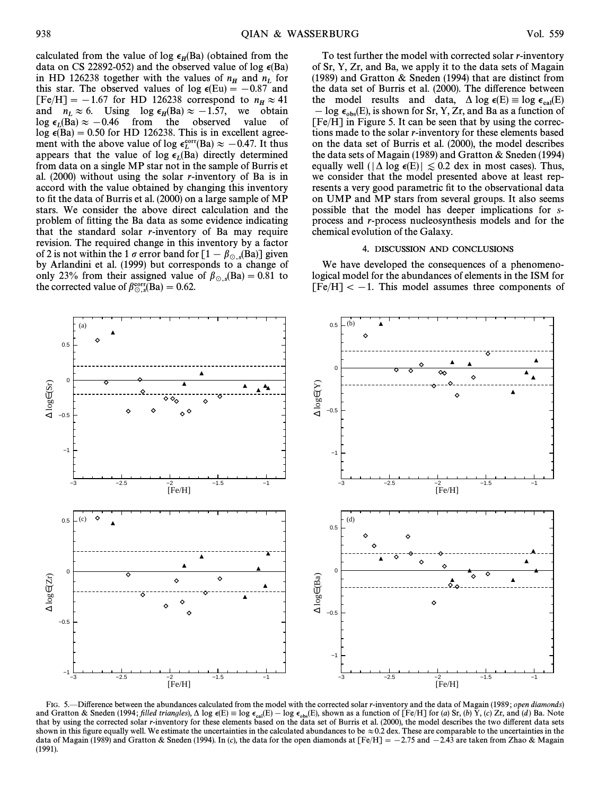calculated from the value of log  $\epsilon_H(Ba)$  (obtained from the data on CS 22892-052) and the observed value of log  $\epsilon$ (Ba) in HD 126238 together with the values of  $n_H$  and  $n_L$  for this star. The observed values of  $\log \epsilon(Fu) = -0.87$  and this star. The observed values of log  $\epsilon(Eu) = -0.87$  and  $[Fe/H] = -1.67$  for HD 126238 correspond to  $n_H \approx 41$ <br>and  $n \approx 6$ . Using  $\log 6$  (Ba)  $\approx -1.57$  we obtain and  $n_L \approx 6$ . Using  $\log \epsilon_H(Ba) \approx -1.57$ , we obtain  $\log \epsilon_B(Ba) \approx -0.46$  from the observed value of  $\log \epsilon_L(Ba) \approx -0.46$  from the observed value of  $\log \epsilon_R(Ba) = 0.50$  for HD 126238. This is in excellent agree  $log \epsilon(Ba) = 0.50$  for HD 126238. This is in excellent agreement with the above value of log  $\epsilon_L^{\text{corr}}(\text{Ba}) \approx -0.47$ . It thus appears that the value of  $\log \epsilon_L$  (Ba)  $\approx$  0.47. It thus from data on a single MP star not in the sample of Burris et al. (2000) without using the solar r-inventory of Ba is in accord with the value obtained by changing this inventory to fit the data of Burris et al. (2000) on a large sample of MP stars. We consider the above direct calculation and the problem of fitting the Ba data as some evidence indicating that the standard solar  $r$ -inventory of Ba may require revision. The required change in this inventory by a factor of 2 is not within the 1  $\sigma$  error band for  $[1 - \beta_{\odot s}(Ba)]$  given by Arlandini et al. (1999) but corresponds to a change of only 23% from their assigned value of  $\beta_{\odot,s}$ (Ba) = 0.81 to the corrected value of  $\beta^{\text{corr}}$ (Ba) = 0.62 the corrected value of  $\beta_{\odot,s}^{\text{corr}}(Ba) = 0.62$ .

To test further the model with corrected solar r-inventory of Sr, Y, Zr, and Ba, we apply it to the data sets of Magain (1989) and Gratton & Sneden (1994) that are distinct from the data set of Burris et al. (2000). The difference between the model results and data,  $\Delta \log \epsilon(E) \equiv \log \epsilon_{\text{cal}}(E)$ <br>  $\sim \log \epsilon$  (E) is shown for Sr V Zr and Ba as a function of  $\log \epsilon_{\rm obs}(E)$ , is shown for Sr, Y, Zr, and Ba as a function of  $[Fe/H]$  in Figure 5. It can be seen that by using the corrections made to the solar r-inventory for these elements based on the data set of Burris et al. (2000), the model describes the data sets of Magain (1989) and Gratton & Sneden (1994) equally well ( $|\Delta \log \epsilon(E)| \lesssim 0.2$  dex in most cases). Thus, we consider that the model presented above at least represents a very good parametric fit to the observational data on UMP and MP stars from several groups. It also seems possible that the model has deeper implications for sprocess and r-process nucleosynthesis models and for the chemical evolution of the Galaxy.

## 4. DISCUSSION AND CONCLUSIONS

We have developed the consequences of a phenomenological model for the abundances of elements in the ISM for  $[Fe/H]< -1$ . This model assumes three components of



FIG. 5.—Difference between the abundances calculated from the model with the corrected solar r-inventory and the data of Magain (1989; open diamonds) and Gratton & Sneden (1994; filled triangles),  $\Delta \log \epsilon(E) = \log \epsilon_{cal}(E) - \log \epsilon_{obs}(E)$ , shown as a function of [Fe/H] for (a) Sr, (b) Y, (c) Zr, and (d) Ba. Note that the carrier of the calibration of  $\epsilon_{obs}(E)$  and  $\epsilon_{obs}(E)$  and that by using the corrected solar r-inventory for these elements based on the data set of Burris et al. (2000), the model describes the two di†erent data sets shown in this figure equally well. We estimate the uncertainties in the calculated abundances to be  $\approx 0.2$  dex. These are comparable to the uncertainties in the data of Magain (1989) and Gratton & Sneden (1994). In (c), the data for the open diamonds at  $[Fe/H] = -2.75$  and  $-2.43$  are taken from Zhao & Magain (1991).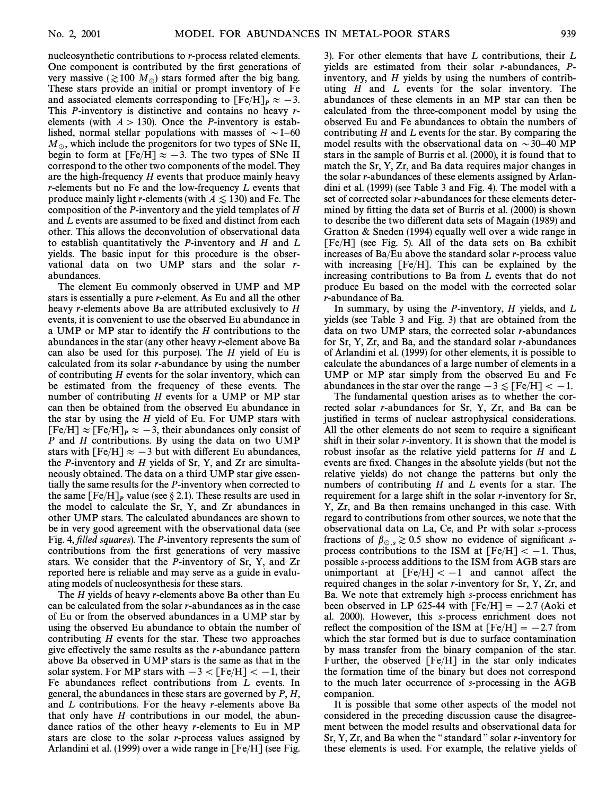nucleosynthetic contributions to r-process related elements. One component is contributed by the first generations of very massive ( $\gtrsim 100$  M<sub>o</sub>) stars formed after the big bang. These stars provide an initial or prompt inventory of Fe and associated elements corresponding to  $[Fe/H]_P \approx -3$ . This P-inventory is distinctive and contains no heavy relements (with  $A > 130$ ). Once the P-inventory is established, normal stellar populations with masses of  $\sim$  1–60  $M_{\odot}$ , which include the progenitors for two types of SNe II, begin to form at  $[Fe/H] \approx -3$ . The two types of SNe II correspond to the other two components of the model. They are the high-frequency H events that produce mainly heavy r-elements but no Fe and the low-frequency L events that produce mainly light r-elements (with  $A \leq 130$ ) and Fe. The composition of the P-inventory and the yield templates of H and L events are assumed to be fixed and distinct from each other. This allows the deconvolution of observational data to establish quantitatively the *P*-inventory and *H* and *L* yields. The basic input for this procedure is the observational data on two UMP stars and the solar rabundances.

The element Eu commonly observed in UMP and MP stars is essentially a pure r-element. As Eu and all the other heavy r-elements above Ba are attributed exclusively to H events, it is convenient to use the observed Eu abundance in a UMP or MP star to identify the H contributions to the abundances in the star (any other heavy r-element above Ba can also be used for this purpose). The  $H$  yield of Eu is calculated from its solar r-abundance by using the number of contributing  $H$  events for the solar inventory, which can be estimated from the frequency of these events. The number of contributing H events for a UMP or MP star can then be obtained from the observed Eu abundance in the star by using the  $H$  yield of Eu. For UMP stars with  $[Fe/H] \approx [Fe/H]_P \approx -3$ , their abundances only consist of P and H contributions. By using the data on two UMP stars with [Fe/H]  $\approx -3$  but with different Eu abundances, the *P*-inventory and *H* yields of Sr, Y, and Zr are simultaneously obtained. The data on a third UMP star give essentially the same results for the P-inventory when corrected to the same  $[Fe/H]_P$  value (see § 2.1). These results are used in the model to calculate the Sr, Y, and Zr abundances in other UMP stars. The calculated abundances are shown to be in very good agreement with the observational data (see Fig. 4, filled squares). The P-inventory represents the sum of contributions from the first generations of very massive stars. We consider that the P-inventory of Sr, Y, and Zr reported here is reliable and may serve as a guide in evaluating models of nucleosynthesis for these stars.

The  $H$  yields of heavy r-elements above Ba other than Eu can be calculated from the solar r-abundances as in the case of Eu or from the observed abundances in a UMP star by using the observed Eu abundance to obtain the number of contributing H events for the star. These two approaches give effectively the same results as the  $r$ -abundance pattern above Ba observed in UMP stars is the same as that in the solar system. For MP stars with  $-3 <$  [Fe/H]  $< -1$ , their Fe abundances reflect contributions from  $L$  events. In general, the abundances in these stars are governed by P, H, and L contributions. For the heavy r-elements above Ba that only have  $H$  contributions in our model, the abundance ratios of the other heavy r-elements to Eu in MP stars are close to the solar r-process values assigned by Arlandini et al. (1999) over a wide range in [Fe/H] (see Fig.

3). For other elements that have L contributions, their L yields are estimated from their solar r-abundances, Pinventory, and H yields by using the numbers of contributing  $H$  and  $L$  events for the solar inventory. The abundances of these elements in an MP star can then be calculated from the three-component model by using the observed Eu and Fe abundances to obtain the numbers of contributing  $H$  and  $L$  events for the star. By comparing the model results with the observational data on  $\sim$  30–40 MP stars in the sample of Burris et al. (2000), it is found that to match the Sr, Y, Zr, and Ba data requires major changes in the solar r-abundances of these elements assigned by Arlandini et al. (1999) (see Table 3 and Fig. 4). The model with a set of corrected solar r-abundances for these elements determined by fitting the data set of Burris et al. (2000) is shown to describe the two different data sets of Magain (1989) and Gratton & Sneden (1994) equally well over a wide range in [Fe/H] (see Fig. 5). All of the data sets on Ba exhibit increases of Ba/Eu above the standard solar r-process value with increasing [Fe/H]. This can be explained by the increasing contributions to Ba from L events that do not produce Eu based on the model with the corrected solar r-abundance of Ba.

In summary, by using the  $P$ -inventory,  $H$  yields, and  $L$ yields (see Table 3 and Fig. 3) that are obtained from the data on two UMP stars, the corrected solar r-abundances for Sr, Y, Zr, and Ba, and the standard solar r-abundances of Arlandini et al. (1999) for other elements, it is possible to calculate the abundances of a large number of elements in a UMP or MP star simply from the observed Eu and Fe abundances in the star over the range  $-3 \leq$  [Fe/H]  $< -1$ .

The fundamental question arises as to whether the corrected solar r-abundances for Sr, Y, Zr, and Ba can be justified in terms of nuclear astrophysical considerations. All the other elements do not seem to require a significant shift in their solar  $r$ -inventory. It is shown that the model is robust insofar as the relative yield patterns for  $H$  and  $L$ events are fixed. Changes in the absolute yields (but not the relative yields) do not change the patterns but only the numbers of contributing  $H$  and  $L$  events for a star. The requirement for a large shift in the solar r-inventory for Sr, Y, Zr, and Ba then remains unchanged in this case. With regard to contributions from other sources, we note that the observational data on La, Ce, and Pr with solar s-process fractions of  $\beta_{\odot,s} \gtrsim 0.5$  show no evidence of significant s-<br>process contributions to the ISM at  $\text{[Fe/H]} \ge -1$ . Thus process contributions to the ISM at  $[Fe/H] < -1$ . Thus, possible s-process additions to the ISM from AGB stars are unimportant at  $[Fe/H] < -1$  and cannot affect the required changes in the solar r-inventory for Sr, Y, Zr, and Ba. We note that extremely high s-process enrichment has been observed in LP 625-44 with  $[Fe/H] = -2.7$  (Aoki et al. 2000). However, this s-process enrichment does not reflect the composition of the ISM at  $[Fe/H] = -2.7$  from which the star formed but is due to surface contamination by mass transfer from the binary companion of the star. Further, the observed [Fe/H] in the star only indicates the formation time of the binary but does not correspond to the much later occurrence of s-processing in the AGB companion.

It is possible that some other aspects of the model not considered in the preceding discussion cause the disagreement between the model results and observational data for Sr, Y, Zr, and Ba when the "standard" solar  $r$ -inventory for these elements is used. For example, the relative yields of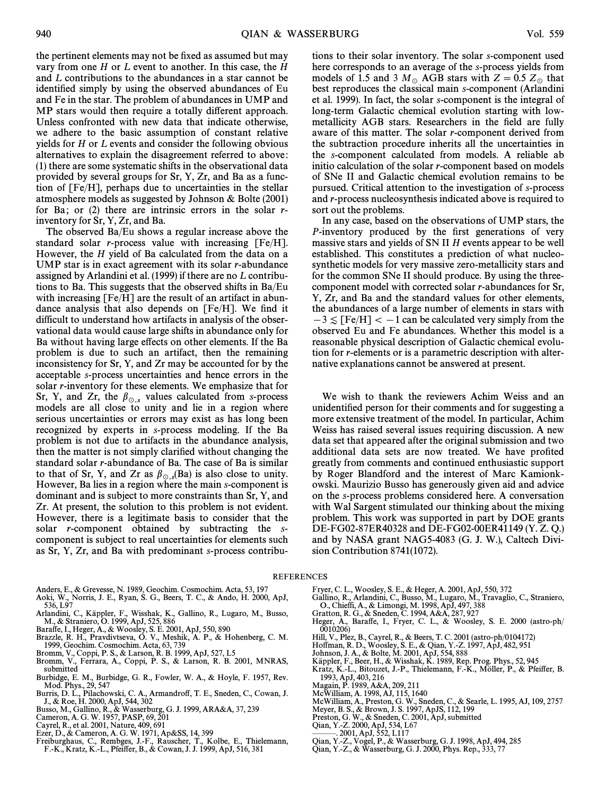the pertinent elements may not be fixed as assumed but may vary from one  $H$  or  $L$  event to another. In this case, the  $H$ and L contributions to the abundances in a star cannot be identified simply by using the observed abundances of Eu and Fe in the star. The problem of abundances in UMP and MP stars would then require a totally different approach. Unless confronted with new data that indicate otherwise, we adhere to the basic assumption of constant relative yields for H or L events and consider the following obvious alternatives to explain the disagreement referred to above : (1) there are some systematic shifts in the observational data provided by several groups for Sr, Y, Zr, and Ba as a function of [Fe/H], perhaps due to uncertainties in the stellar atmosphere models as suggested by Johnson & Bolte (2001) for Ba; or  $(2)$  there are intrinsic errors in the solar rinventory for Sr, Y, Zr, and Ba.

The observed Ba/Eu shows a regular increase above the standard solar *r*-process value with increasing  $[Fe/H]$ . However, the H yield of Ba calculated from the data on a UMP star is in exact agreement with its solar  $r$ -abundance assigned by Arlandini et al. (1999) if there are no L contributions to Ba. This suggests that the observed shifts in Ba/Eu with increasing [Fe/H] are the result of an artifact in abundance analysis that also depends on  $[Fe/H]$ . We find it difficult to understand how artifacts in analysis of the observational data would cause large shifts in abundance only for Ba without having large effects on other elements. If the Ba problem is due to such an artifact, then the remaining inconsistency for Sr, Y, and Zr may be accounted for by the acceptable s-process uncertainties and hence errors in the solar r-inventory for these elements. We emphasize that for Sr, Y, and Zr, the  $\beta_{\odot,s}$  values calculated from s-process models are all close to unity and lie in a region where serious uncertainties or errors may exist as has long been recognized by experts in s-process modeling. If the Ba problem is not due to artifacts in the abundance analysis, then the matter is not simply clarified without changing the standard solar r-abundance of Ba. The case of Ba is similar to that of Sr, Y, and Zr as  $\beta_{\odot,s}$ (Ba) is also close to unity. However, Ba lies in a region where the main s-component is dominant and is subject to more constraints than Sr, Y, and Zr. At present, the solution to this problem is not evident. However, there is a legitimate basis to consider that the solar *r*-component obtained by subtracting the *s*component is subject to real uncertainties for elements such as Sr, Y, Zr, and Ba with predominant s-process contribu-

Anders, E., & Grevesse, N. 1989, Geochim. Cosmochim. Acta, 53, 197

- Aoki, W., Norris, J. E., Ryan, S. G., Beers, T. C., & Ando, H. 2000, ApJ, 536, L97
- Arlandini, C., Käppler, F., Wisshak, K., Gallino, R., Lugaro, M., Busso, M., & Straniero, O. 1999, ApJ, 525, 886
- 
- Bara†e, I., Heger, A., & Woosley, S. E. 2001, ApJ, 550, 890 Brazzle, R. H., Pravdivtseva, O. V., Meshik, A. P., & Hohenberg, C. M. 1999, Geochim. Cosmochim. Acta, 63, 739
- Bromm, V., Coppi, P. S., & Larson, R. B. 1999, ApJ, 527, L5 Bromm, V., Ferrara, A., Coppi, P. S., & Larson, R. B. 2001, MNRAS,
- submitted
- Burbidge, E. M., Burbidge, G. R., Fowler, W. A., & Hoyle, F. 1957, Rev. Mod. Phys., 29, 547
- Burris, D. L., Pilachowski, C. A., Armandro†, T. E., Sneden, C., Cowan, J. J., & Roe, H. 2000, ApJ, 544, 302
- Busso, M., Gallino, R., & Wasserburg, G. J. 1999, ARA&A, 37, 239 Cameron, A. G. W. 1957, PASP, 69, 201
- 
- Cayrel, R., et al. 2001, Nature, 409, 691
- 
- Ezer, D., & Cameron, A. G. W. 1971, Ap&SS, 14, 399 Freiburghaus, C., Rembges, J.-F., Rauscher, T., Kolbe, E., Thielemann, F.-K., Kratz, K.-L., Pfei†er, B., & Cowan, J. J. 1999, ApJ, 516, 381

tions to their solar inventory. The solar s-component used here corresponds to an average of the s-process yields from models of 1.5 and 3  $M_\odot$  AGB stars with  $Z = 0.5 Z_\odot$  that

best reproduces the classical main s-component (Arlandini et al. 1999). In fact, the solar s-component is the integral of long-term Galactic chemical evolution starting with lowmetallicity AGB stars. Researchers in the field are fully aware of this matter. The solar r-component derived from the subtraction procedure inherits all the uncertainties in the s-component calculated from models. A reliable ab initio calculation of the solar r-component based on models of SNe II and Galactic chemical evolution remains to be pursued. Critical attention to the investigation of s-process and r-process nucleosynthesis indicated above is required to sort out the problems.

In any case, based on the observations of UMP stars, the P-inventory produced by the first generations of very massive stars and yields of SN II H events appear to be well established. This constitutes a prediction of what nucleosynthetic models for very massive zero-metallicity stars and for the common SNe II should produce. By using the threecomponent model with corrected solar r-abundances for Sr, Y, Zr, and Ba and the standard values for other elements, the abundances of a large number of elements in stars with  $-3 \lesssim$  [Fe/H]  $< -1$  can be calculated very simply from the observed Eu and Fe abundances. Whether this model is a reasonable physical description of Galactic chemical evolution for r-elements or is a parametric description with alternative explanations cannot be answered at present.

We wish to thank the reviewers Achim Weiss and an unidentified person for their comments and for suggesting a more extensive treatment of the model. In particular, Achim Weiss has raised several issues requiring discussion. A new data set that appeared after the original submission and two additional data sets are now treated. We have profited greatly from comments and continued enthusiastic support by Roger Blandford and the interest of Marc Kamionkowski. Maurizio Busso has generously given aid and advice on the s-process problems considered here. A conversation with Wal Sargent stimulated our thinking about the mixing problem. This work was supported in part by DOE grants DE-FG02-87ER40328 and DE-FG02-00ER41149 (Y. Z. Q.) and by NASA grant NAG5-4083 (G. J. W.), Caltech Division Contribution 8741(1072).

#### REFERENCES

- 
- Fryer, C. L., Woosley, S. E., & Heger, A. 2001, ApJ, 550, 372 Gallino, R., Arlandini, C., Busso, M., Lugaro, M., Travaglio, C., Straniero, O., Chieffi, A., & Limongi, M. 1998, ApJ, 497, 388 Gratton, R. G., & Sneden, C. 1994, A&A, 287, 927
- 
- Heger, A., Bara†e, I., Fryer, C. L., & Woosley, S. E. 2000 (astro-ph/ 0010206)
- 
- Hill, V., Plez, B., Cayrel, R., & Beers, T. C. 2001 (astro-ph/0104172)<br>Hoffman, R. D., Woosley, S. E., & Qian, Y.-Z. 1997, ApJ, 482, 951<br>Johnson, J. A., & Bolte, M. 2001, ApJ, 554, 888
- 
- Kappler, F., Beer, H., & Wisshak, K. 1989, Rep. Prog. Phys., 52, 945
- Kratz, K.-L., Bitouzet, J.-P., Thielemann, F.-K., Möller, P., & Pfeiffer, B.<br>1993, ApJ, 403, 216
- Magain, P. 1989, A&A, 209, 211
- 
- McWilliam, A. 1998, AJ, 115, 1640 McWilliam, A., Preston, G. W., Sneden, C., & Searle, L. 1995, AJ, 109, 2757
- Meyer, B. S., & Brown, J. S. 1997, ApJS, 112, 199 Preston, G. W., & Sneden, C. 2001, ApJ, submitted
- 
- Qian, Y.-Z. 2000, ApJ, 534, L67
- ÈÈÈ. 2001, ApJ, 552, L117
- Qian, Y.-Z., Vogel, P., & Wasserburg, G. J. 1998, ApJ, 494, 285
- Qian, Y.-Z., & Wasserburg, G. J. 2000, Phys. Rep., 333, 77